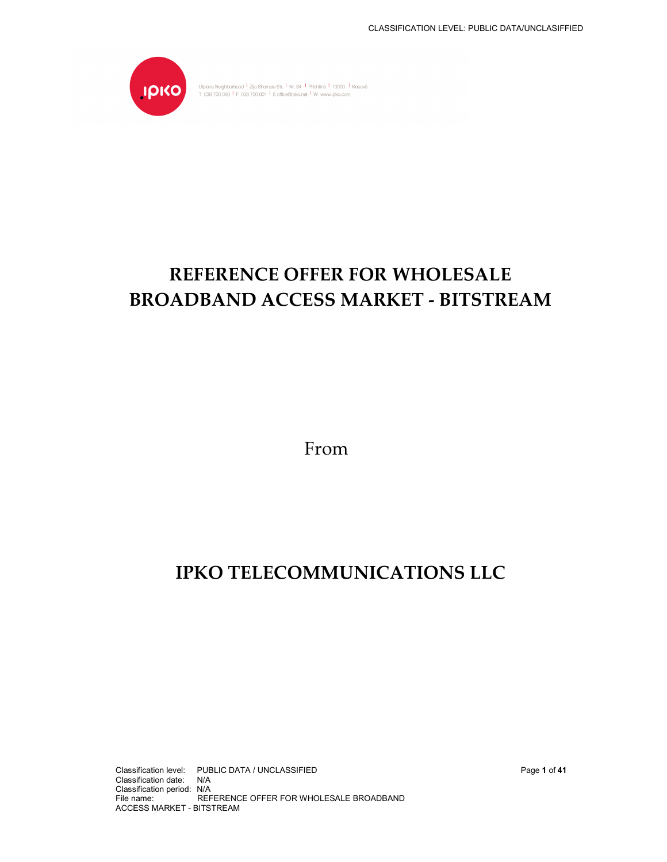

Ulpiana Neighborhood <sup>1</sup> Zija Shemsiu Str. <sup>1</sup> Nr. 34 <sup>1</sup> Prishtinë <sup>1</sup> 10000 <sup>1</sup> Kosovë<br>T 038 700 000 <sup>1</sup> F 038 700 001 <sup>1</sup> E office@ipko.net <sup>1</sup> W www.ipko.com

# **REFERENCE OFFER FOR WHOLESALE BROADBAND ACCESS MARKET - BITSTREAM**

From

# **IPKO TELECOMMUNICATIONS LLC**

Classification level: PUBLIC DATA / UNCLASSIFIED Page **1** of **41** Classification date: N/A Classification period: N/A File name: REFERENCE OFFER FOR WHOLESALE BROADBAND ACCESS MARKET - BITSTREAM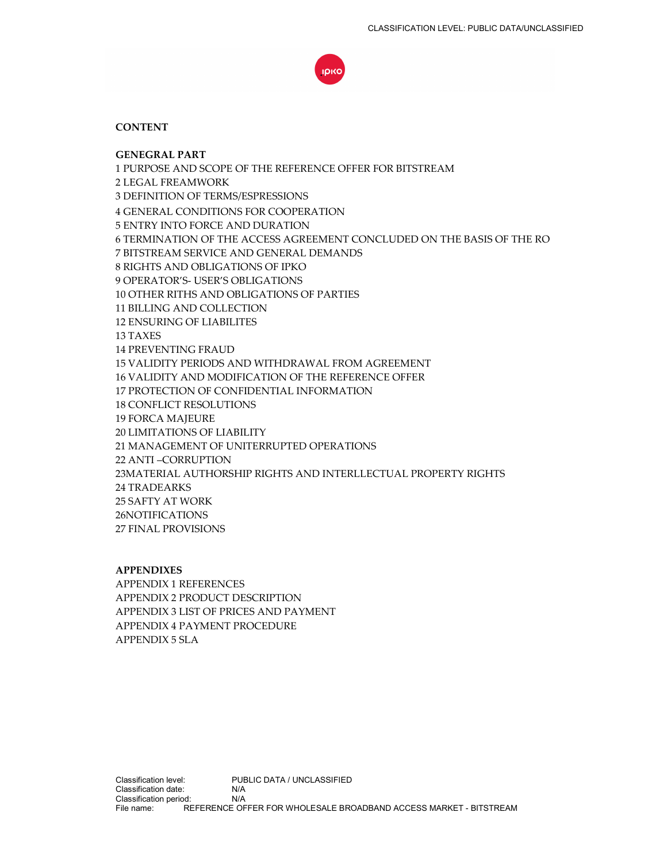

## **CONTENT**

**GENEGRAL PART** 1 PURPOSE AND SCOPE OF THE REFERENCE OFFER FOR BITSTREAM 2 LEGAL FREAMWORK 3 DEFINITION OF TERMS/ESPRESSIONS 4 GENERAL CONDITIONS FOR COOPERATION 5 ENTRY INTO FORCE AND DURATION 6 TERMINATION OF THE ACCESS AGREEMENT CONCLUDED ON THE BASIS OF THE RO 7 BITSTREAM SERVICE AND GENERAL DEMANDS 8 RIGHTS AND OBLIGATIONS OF IPKO 9 OPERATOR'S- USER'S OBLIGATIONS 10 OTHER RITHS AND OBLIGATIONS OF PARTIES 11 BILLING AND COLLECTION 12 ENSURING OF LIABILITES 13 TAXES 14 PREVENTING FRAUD 15 VALIDITY PERIODS AND WITHDRAWAL FROM AGREEMENT 16 VALIDITY AND MODIFICATION OF THE REFERENCE OFFER 17 PROTECTION OF CONFIDENTIAL INFORMATION 18 CONFLICT RESOLUTIONS 19 FORCA MAJEURE 20 LIMITATIONS OF LIABILITY 21 MANAGEMENT OF UNITERRUPTED OPERATIONS 22 ANTI –CORRUPTION 23MATERIAL AUTHORSHIP RIGHTS AND INTERLLECTUAL PROPERTY RIGHTS 24 TRADEARKS 25 SAFTY AT WORK 26NOTIFICATIONS 27 FINAL PROVISIONS

**APPENDIXES**  APPENDIX 1 REFERENCES APPENDIX 2 PRODUCT DESCRIPTION APPENDIX 3 LIST OF PRICES AND PAYMENT APPENDIX 4 PAYMENT PROCEDURE APPENDIX 5 SLA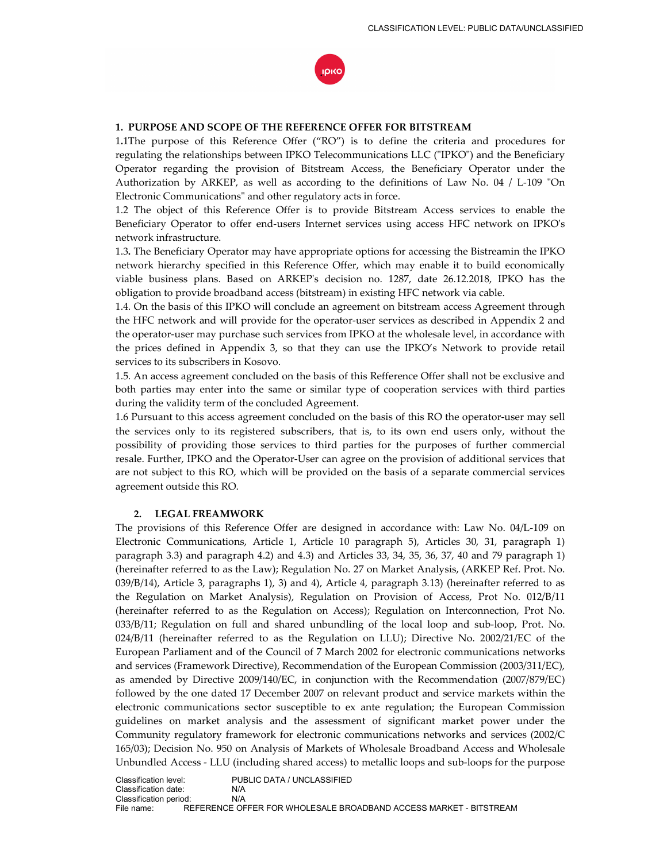

#### **1. PURPOSE AND SCOPE OF THE REFERENCE OFFER FOR BITSTREAM**

1**.**1The purpose of this Reference Offer ("RO") is to define the criteria and procedures for regulating the relationships between IPKO Telecommunications LLC ("IPKO") and the Beneficiary Operator regarding the provision of Bitstream Access, the Beneficiary Operator under the Authorization by ARKEP, as well as according to the definitions of Law No. 04 / L-109 "On Electronic Communications" and other regulatory acts in force.

1.2 The object of this Reference Offer is to provide Bitstream Access services to enable the Beneficiary Operator to offer end-users Internet services using access HFC network on IPKO's network infrastructure.

1.3**.** The Beneficiary Operator may have appropriate options for accessing the Bistreamin the IPKO network hierarchy specified in this Reference Offer, which may enable it to build economically viable business plans. Based on ARKEP's decision no. 1287, date 26.12.2018, IPKO has the obligation to provide broadband access (bitstream) in existing HFC network via cable.

1.4. On the basis of this IPKO will conclude an agreement on bitstream access Agreement through the HFC network and will provide for the operator-user services as described in Appendix 2 and the operator-user may purchase such services from IPKO at the wholesale level, in accordance with the prices defined in Appendix 3, so that they can use the IPKO's Network to provide retail services to its subscribers in Kosovo.

1.5. An access agreement concluded on the basis of this Refference Offer shall not be exclusive and both parties may enter into the same or similar type of cooperation services with third parties during the validity term of the concluded Agreement.

1.6 Pursuant to this access agreement concluded on the basis of this RO the operator-user may sell the services only to its registered subscribers, that is, to its own end users only, without the possibility of providing those services to third parties for the purposes of further commercial resale. Further, IPKO and the Operator-User can agree on the provision of additional services that are not subject to this RO, which will be provided on the basis of a separate commercial services agreement outside this RO.

#### **2. LEGAL FREAMWORK**

The provisions of this Reference Offer are designed in accordance with: Law No. 04/L-109 on Electronic Communications, Article 1, Article 10 paragraph 5), Articles 30, 31, paragraph 1) paragraph 3.3) and paragraph 4.2) and 4.3) and Articles 33, 34, 35, 36, 37, 40 and 79 paragraph 1) (hereinafter referred to as the Law); Regulation No. 27 on Market Analysis, (ARKEP Ref. Prot. No. 039/B/14), Article 3, paragraphs 1), 3) and 4), Article 4, paragraph 3.13) (hereinafter referred to as the Regulation on Market Analysis), Regulation on Provision of Access, Prot No. 012/B/11 (hereinafter referred to as the Regulation on Access); Regulation on Interconnection, Prot No. 033/B/11; Regulation on full and shared unbundling of the local loop and sub-loop, Prot. No. 024/B/11 (hereinafter referred to as the Regulation on LLU); Directive No. 2002/21/EC of the European Parliament and of the Council of 7 March 2002 for electronic communications networks and services (Framework Directive), Recommendation of the European Commission (2003/311/EC), as amended by Directive 2009/140/EC, in conjunction with the Recommendation (2007/879/EC) followed by the one dated 17 December 2007 on relevant product and service markets within the electronic communications sector susceptible to ex ante regulation; the European Commission guidelines on market analysis and the assessment of significant market power under the Community regulatory framework for electronic communications networks and services (2002/C 165/03); Decision No. 950 on Analysis of Markets of Wholesale Broadband Access and Wholesale Unbundled Access - LLU (including shared access) to metallic loops and sub-loops for the purpose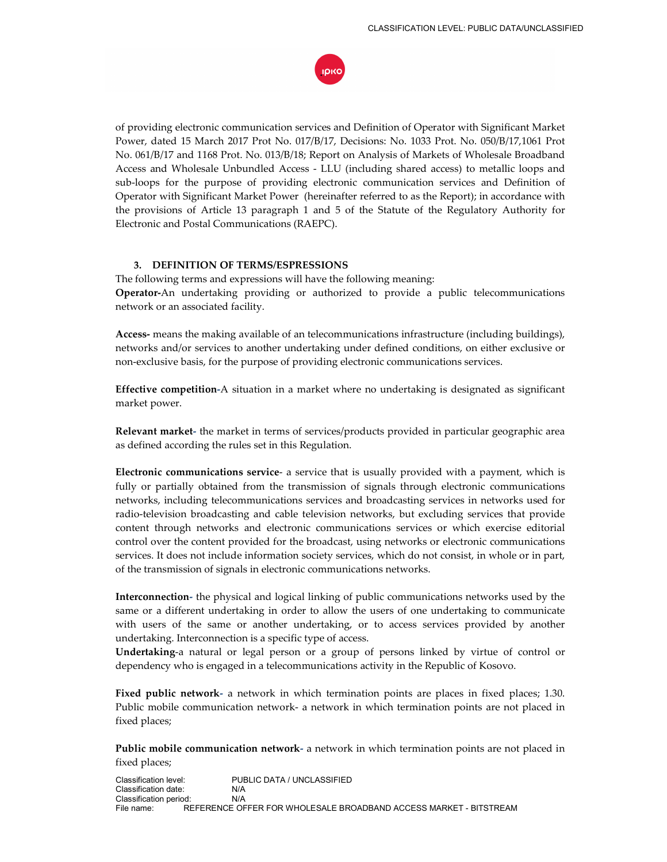

of providing electronic communication services and Definition of Operator with Significant Market Power, dated 15 March 2017 Prot No. 017/B/17, Decisions: No. 1033 Prot. No. 050/B/17,1061 Prot No. 061/B/17 and 1168 Prot. No. 013/B/18; Report on Analysis of Markets of Wholesale Broadband Access and Wholesale Unbundled Access - LLU (including shared access) to metallic loops and sub-loops for the purpose of providing electronic communication services and Definition of Operator with Significant Market Power (hereinafter referred to as the Report); in accordance with the provisions of Article 13 paragraph 1 and 5 of the Statute of the Regulatory Authority for Electronic and Postal Communications (RAEPC).

## **3. DEFINITION OF TERMS/ESPRESSIONS**

The following terms and expressions will have the following meaning: **Operator-**An undertaking providing or authorized to provide a public telecommunications network or an associated facility.

**Access-** means the making available of an telecommunications infrastructure (including buildings), networks and/or services to another undertaking under defined conditions, on either exclusive or non-exclusive basis, for the purpose of providing electronic communications services.

**Effective competition-**A situation in a market where no undertaking is designated as significant market power.

**Relevant market-** the market in terms of services/products provided in particular geographic area as defined according the rules set in this Regulation.

**Electronic communications service**- a service that is usually provided with a payment, which is fully or partially obtained from the transmission of signals through electronic communications networks, including telecommunications services and broadcasting services in networks used for radio-television broadcasting and cable television networks, but excluding services that provide content through networks and electronic communications services or which exercise editorial control over the content provided for the broadcast, using networks or electronic communications services. It does not include information society services, which do not consist, in whole or in part, of the transmission of signals in electronic communications networks.

**Interconnection-** the physical and logical linking of public communications networks used by the same or a different undertaking in order to allow the users of one undertaking to communicate with users of the same or another undertaking, or to access services provided by another undertaking. Interconnection is a specific type of access.

**Undertaking**-a natural or legal person or a group of persons linked by virtue of control or dependency who is engaged in a telecommunications activity in the Republic of Kosovo.

**Fixed public network-** a network in which termination points are places in fixed places; 1.30. Public mobile communication network- a network in which termination points are not placed in fixed places;

**Public mobile communication network-** a network in which termination points are not placed in fixed places;

Classification level: PUBLIC DATA / UNCLASSIFIED Classification date: N/A Classification period: N/A<br>File name: REFERENCE OF REFERENCE OFFER FOR WHOLESALE BROADBAND ACCESS MARKET - BITSTREAM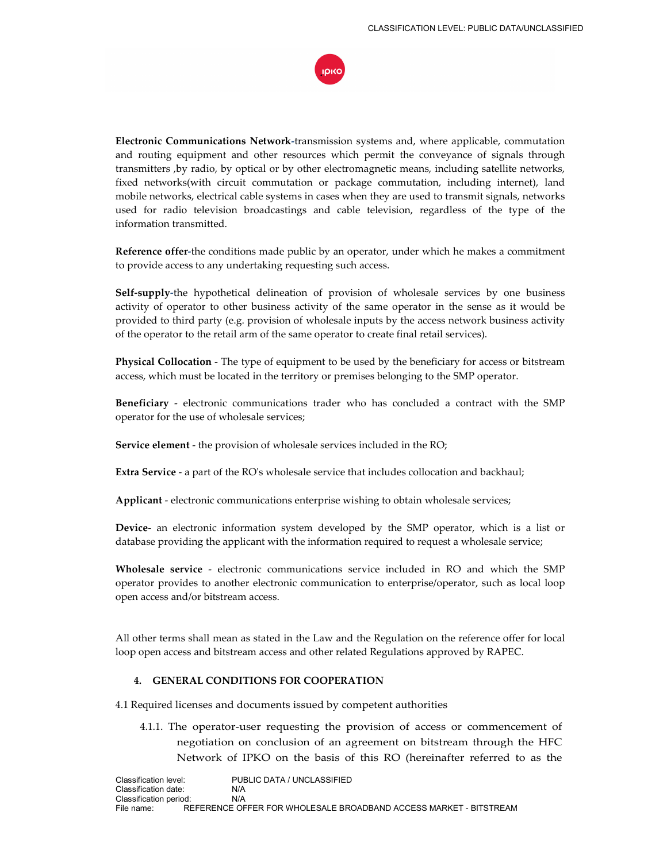

**Electronic Communications Network-**transmission systems and, where applicable, commutation and routing equipment and other resources which permit the conveyance of signals through transmitters ,by radio, by optical or by other electromagnetic means, including satellite networks, fixed networks(with circuit commutation or package commutation, including internet), land mobile networks, electrical cable systems in cases when they are used to transmit signals, networks used for radio television broadcastings and cable television, regardless of the type of the information transmitted.

**Reference offer-**the conditions made public by an operator, under which he makes a commitment to provide access to any undertaking requesting such access.

**Self-supply-**the hypothetical delineation of provision of wholesale services by one business activity of operator to other business activity of the same operator in the sense as it would be provided to third party (e.g. provision of wholesale inputs by the access network business activity of the operator to the retail arm of the same operator to create final retail services).

**Physical Collocation** - The type of equipment to be used by the beneficiary for access or bitstream access, which must be located in the territory or premises belonging to the SMP operator.

**Beneficiary** - electronic communications trader who has concluded a contract with the SMP operator for the use of wholesale services;

**Service element** - the provision of wholesale services included in the RO;

**Extra Service** - a part of the RO's wholesale service that includes collocation and backhaul;

**Applicant** - electronic communications enterprise wishing to obtain wholesale services;

**Device**- an electronic information system developed by the SMP operator, which is a list or database providing the applicant with the information required to request a wholesale service;

**Wholesale service** - electronic communications service included in RO and which the SMP operator provides to another electronic communication to enterprise/operator, such as local loop open access and/or bitstream access.

All other terms shall mean as stated in the Law and the Regulation on the reference offer for local loop open access and bitstream access and other related Regulations approved by RAPEC.

## **4. GENERAL CONDITIONS FOR COOPERATION**

4.1 Required licenses and documents issued by competent authorities

4.1.1. The operator-user requesting the provision of access or commencement of negotiation on conclusion of an agreement on bitstream through the HFC Network of IPKO on the basis of this RO (hereinafter referred to as the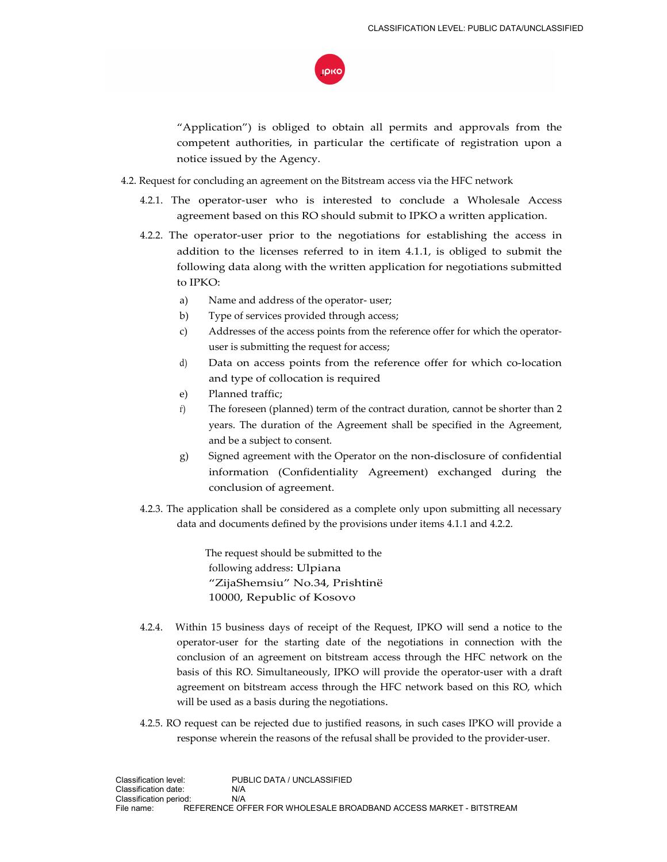

"Application") is obliged to obtain all permits and approvals from the competent authorities, in particular the certificate of registration upon a notice issued by the Agency.

- 4.2. Request for concluding an agreement on the Bitstream access via the HFC network
	- 4.2.1. The operator-user who is interested to conclude a Wholesale Access agreement based on this RO should submit to IPKO a written application.
	- 4.2.2. The operator-user prior to the negotiations for establishing the access in addition to the licenses referred to in item 4.1.1, is obliged to submit the following data along with the written application for negotiations submitted to IPKO:
		- а) Name and address of the operator- user;
		- b) Type of services provided through access;
		- c) Addresses of the access points from the reference offer for which the operatoruser is submitting the request for access;
		- d) Data on access points from the reference offer for which co-location and type of collocation is required
		- e) Planned traffic;
		- ѓ) The foreseen (planned) term of the contract duration, cannot be shorter than 2 years. The duration of the Agreement shall be specified in the Agreement, and be a subject to consent.
		- g) Signed agreement with the Operator on the non-disclosure of confidential information (Confidentiality Agreement) exchanged during the conclusion of agreement.
	- 4.2.3. The application shall be considered as a complete only upon submitting all necessary data and documents defined by the provisions under items 4.1.1 and 4.2.2.

 The request should be submitted to the following address: Ulpiana "ZijaShemsiu" No.34, Prishtinë 10000, Republic of Kosovo

- 4.2.4. Within 15 business days of receipt of the Request, IPKO will send a notice to the operator-user for the starting date of the negotiations in connection with the conclusion of an agreement on bitstream access through the HFC network on the basis of this RO. Simultaneously, IPKO will provide the operator-user with a draft agreement on bitstream access through the HFC network based on this RO, which will be used as a basis during the negotiations.
- 4.2.5. RO request can be rejected due to justified reasons, in such cases IPKO will provide a response wherein the reasons of the refusal shall be provided to the provider-user.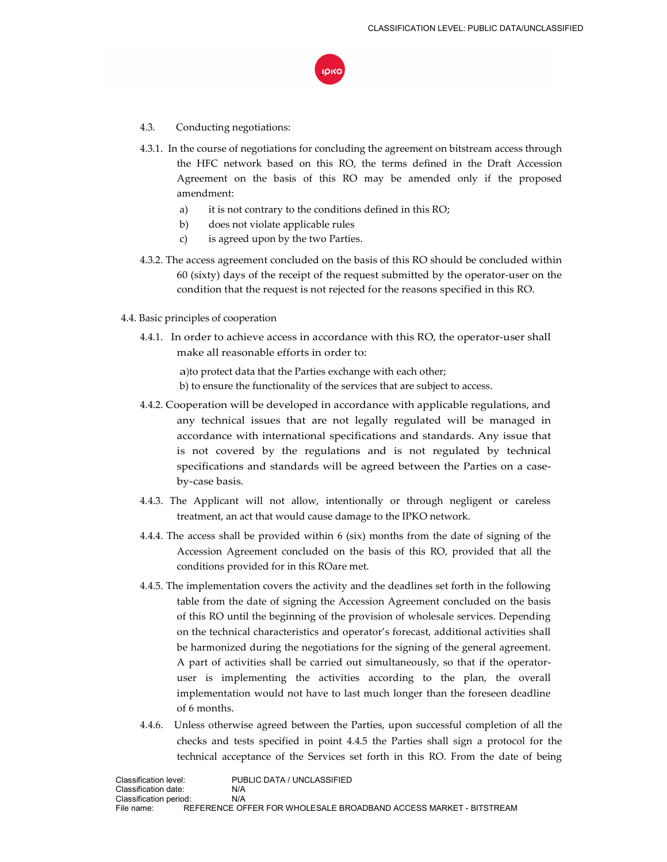

- 4.3. Conducting negotiations:
- 4.3.1. In the course of negotiations for concluding the agreement on bitstream access through the HFC network based on this RO, the terms defined in the Draft Accession Agreement on the basis of this RO may be amended only if the proposed amendment:
	- a) it is not contrary to the conditions defined in this RO;
	- b) does not violate applicable rules
	- c) is agreed upon by the two Parties.
- 4.3.2. The access agreement concluded on the basis of this RO should be concluded within 60 (sixty) days of the receipt of the request submitted by the operator-user on the condition that the request is not rejected for the reasons specified in this RO.
- 4.4. Basic principles of cooperation
	- 4.4.1. In order to achieve access in accordance with this RO, the operator-user shall make all reasonable efforts in order to:

а)to protect data that the Parties exchange with each other; b) to ensure the functionality of the services that are subject to access.

- 4.4.2. Cooperation will be developed in accordance with applicable regulations, and any technical issues that are not legally regulated will be managed in accordance with international specifications and standards. Any issue that is not covered by the regulations and is not regulated by technical specifications and standards will be agreed between the Parties on a caseby-case basis.
- 4.4.3. The Applicant will not allow, intentionally or through negligent or careless treatment, an act that would cause damage to the IPKO network.
- 4.4.4. The access shall be provided within 6 (six) months from the date of signing of the Accession Agreement concluded on the basis of this RO, provided that all the conditions provided for in this ROare met.
- 4.4.5. The implementation covers the activity and the deadlines set forth in the following table from the date of signing the Accession Agreement concluded on the basis of this RO until the beginning of the provision of wholesale services. Depending on the technical characteristics and operator's forecast, additional activities shall be harmonized during the negotiations for the signing of the general agreement. A part of activities shall be carried out simultaneously, so that if the operatoruser is implementing the activities according to the plan, the overall implementation would not have to last much longer than the foreseen deadline of 6 months.
- 4.4.6. Unless otherwise agreed between the Parties, upon successful completion of all the checks and tests specified in point 4.4.5 the Parties shall sign a protocol for the technical acceptance of the Services set forth in this RO. From the date of being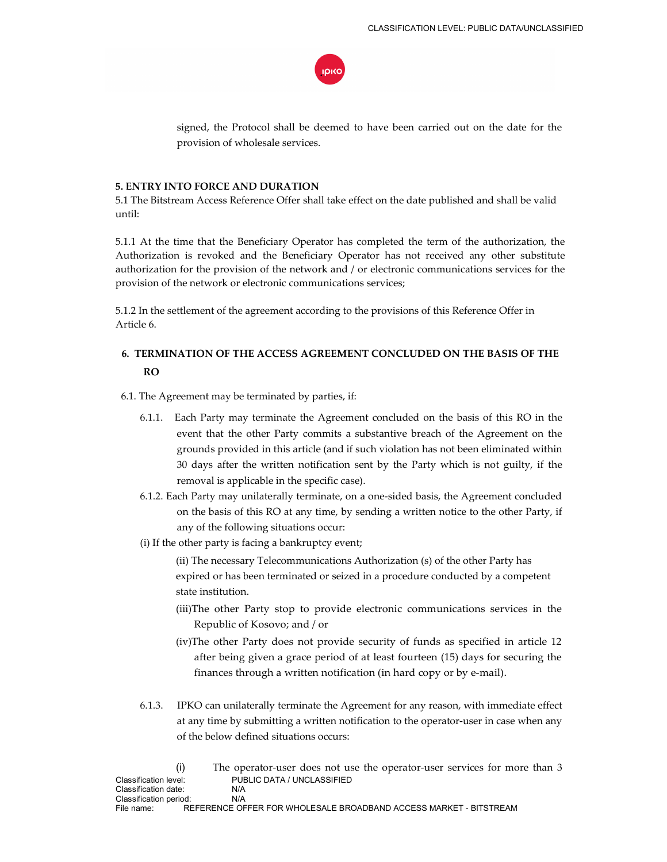

signed, the Protocol shall be deemed to have been carried out on the date for the provision of wholesale services.

## **5. ENTRY INTO FORCE AND DURATION**

5.1 The Bitstream Access Reference Offer shall take effect on the date published and shall be valid until:

5.1.1 At the time that the Beneficiary Operator has completed the term of the authorization, the Authorization is revoked and the Beneficiary Operator has not received any other substitute authorization for the provision of the network and / or electronic communications services for the provision of the network or electronic communications services;

5.1.2 In the settlement of the agreement according to the provisions of this Reference Offer in Article 6.

# **6. TERMINATION OF THE ACCESS AGREEMENT CONCLUDED ON THE BASIS OF THE RO**

6.1. The Agreement may be terminated by parties, if:

- 6.1.1. Each Party may terminate the Agreement concluded on the basis of this RO in the event that the other Party commits a substantive breach of the Agreement on the grounds provided in this article (and if such violation has not been eliminated within 30 days after the written notification sent by the Party which is not guilty, if the removal is applicable in the specific case).
- 6.1.2. Each Party may unilaterally terminate, on a one-sided basis, the Agreement concluded on the basis of this RO at any time, by sending a written notice to the other Party, if any of the following situations occur:
- (i) If the other party is facing a bankruptcy event;

(ii) The necessary Telecommunications Authorization (s) of the other Party has expired or has been terminated or seized in a procedure conducted by a competent state institution.

- (iii)The other Party stop to provide electronic communications services in the Republic of Kosovo; and / or
- (iv)The other Party does not provide security of funds as specified in article 12 after being given a grace period of at least fourteen (15) days for securing the finances through a written notification (in hard copy or by e-mail).
- 6.1.3. IPKO can unilaterally terminate the Agreement for any reason, with immediate effect at any time by submitting a written notification to the operator-user in case when any of the below defined situations occurs:

|                        |                            | The operator-user does not use the operator-user services for more than 3 |  |  |  |
|------------------------|----------------------------|---------------------------------------------------------------------------|--|--|--|
| Classification level:  | PUBLIC DATA / UNCLASSIFIED |                                                                           |  |  |  |
| Classification date:   | N/A                        |                                                                           |  |  |  |
| Classification period: | N/A                        |                                                                           |  |  |  |
| File name:             |                            | REFERENCE OFFER FOR WHOLESALE BROADBAND ACCESS MARKET - BITSTREAM         |  |  |  |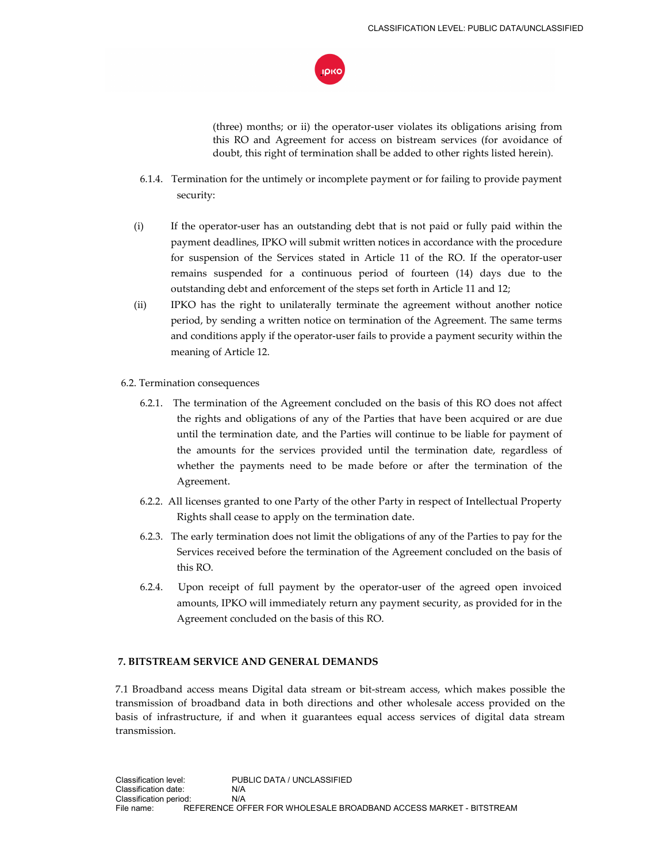

(three) months; or ii) the operator-user violates its obligations arising from this RO and Agreement for access on bistream services (for avoidance of doubt, this right of termination shall be added to other rights listed herein).

- 6.1.4. Termination for the untimely or incomplete payment or for failing to provide payment security:
- (i) If the operator-user has an outstanding debt that is not paid or fully paid within the payment deadlines, IPKO will submit written notices in accordance with the procedure for suspension of the Services stated in Article 11 of the RO. If the operator-user remains suspended for a continuous period of fourteen (14) days due to the outstanding debt and enforcement of the steps set forth in Article 11 and 12;
- (ii) IPKO has the right to unilaterally terminate the agreement without another notice period, by sending a written notice on termination of the Agreement. The same terms and conditions apply if the operator-user fails to provide a payment security within the meaning of Article 12.
- 6.2. Termination consequences
	- 6.2.1. The termination of the Agreement concluded on the basis of this RO does not affect the rights and obligations of any of the Parties that have been acquired or are due until the termination date, and the Parties will continue to be liable for payment of the amounts for the services provided until the termination date, regardless of whether the payments need to be made before or after the termination of the Agreement.
	- 6.2.2. All licenses granted to one Party of the other Party in respect of Intellectual Property Rights shall cease to apply on the termination date.
	- 6.2.3. The early termination does not limit the obligations of any of the Parties to pay for the Services received before the termination of the Agreement concluded on the basis of this RO.
	- 6.2.4. Upon receipt of full payment by the operator-user of the agreed open invoiced amounts, IPKO will immediately return any payment security, as provided for in the Agreement concluded on the basis of this RO.

## **7. BITSTREAM SERVICE AND GENERAL DEMANDS**

7.1 Broadband access means Digital data stream or bit-stream access, which makes possible the transmission of broadband data in both directions and other wholesale access provided on the basis of infrastructure, if and when it guarantees equal access services of digital data stream transmission.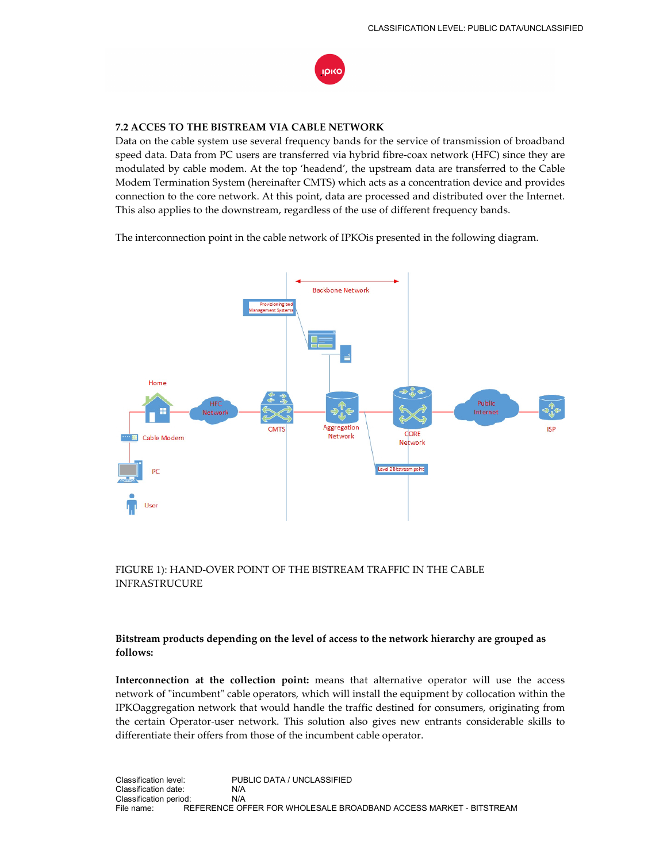

## **7.2 ACCES TO THE BISTREAM VIA CABLE NETWORK**

Data on the cable system use several frequency bands for the service of transmission of broadband speed data. Data from PC users are transferred via hybrid fibre-coax network (HFC) since they are modulated by cable modem. At the top 'headend', the upstream data are transferred to the Cable Modem Termination System (hereinafter CMTS) which acts as a concentration device and provides connection to the core network. At this point, data are processed and distributed over the Internet. This also applies to the downstream, regardless of the use of different frequency bands.

The interconnection point in the cable network of IPKOis presented in the following diagram.



## FIGURE 1): HAND-OVER POINT OF THE BISTREAM TRAFFIC IN THE CABLE INFRASTRUCURE

## **Bitstream products depending on the level of access to the network hierarchy are grouped as follows:**

**Interconnection at the collection point:** means that alternative operator will use the access network of "incumbent" cable operators, which will install the equipment by collocation within the IPKOaggregation network that would handle the traffic destined for consumers, originating from the certain Operator-user network. This solution also gives new entrants considerable skills to differentiate their offers from those of the incumbent cable operator.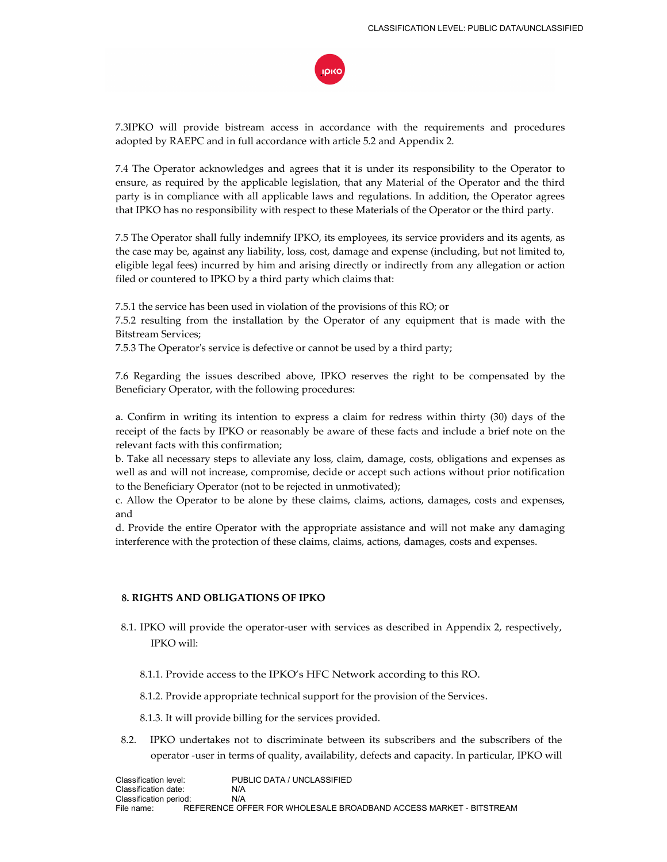

7.3IPKO will provide bistream access in accordance with the requirements and procedures adopted by RAEPC and in full accordance with article 5.2 and Appendix 2.

7.4 The Operator acknowledges and agrees that it is under its responsibility to the Operator to ensure, as required by the applicable legislation, that any Material of the Operator and the third party is in compliance with all applicable laws and regulations. In addition, the Operator agrees that IPKO has no responsibility with respect to these Materials of the Operator or the third party.

7.5 The Operator shall fully indemnify IPKO, its employees, its service providers and its agents, as the case may be, against any liability, loss, cost, damage and expense (including, but not limited to, eligible legal fees) incurred by him and arising directly or indirectly from any allegation or action filed or countered to IPKO by a third party which claims that:

7.5.1 the service has been used in violation of the provisions of this RO; or

7.5.2 resulting from the installation by the Operator of any equipment that is made with the Bitstream Services;

7.5.3 The Operator's service is defective or cannot be used by a third party;

7.6 Regarding the issues described above, IPKO reserves the right to be compensated by the Beneficiary Operator, with the following procedures:

a. Confirm in writing its intention to express a claim for redress within thirty (30) days of the receipt of the facts by IPKO or reasonably be aware of these facts and include a brief note on the relevant facts with this confirmation;

b. Take all necessary steps to alleviate any loss, claim, damage, costs, obligations and expenses as well as and will not increase, compromise, decide or accept such actions without prior notification to the Beneficiary Operator (not to be rejected in unmotivated);

c. Allow the Operator to be alone by these claims, claims, actions, damages, costs and expenses, and

d. Provide the entire Operator with the appropriate assistance and will not make any damaging interference with the protection of these claims, claims, actions, damages, costs and expenses.

## **8. RIGHTS AND OBLIGATIONS OF IPKO**

- 8.1. IPKO will provide the operator-user with services as described in Appendix 2, respectively, IPKO will:
	- 8.1.1. Provide access to the IPKO's HFC Network according to this RO.

8.1.2. Provide appropriate technical support for the provision of the Services.

8.1.3. It will provide billing for the services provided.

8.2. IPKO undertakes not to discriminate between its subscribers and the subscribers of the operator -user in terms of quality, availability, defects and capacity. In particular, IPKO will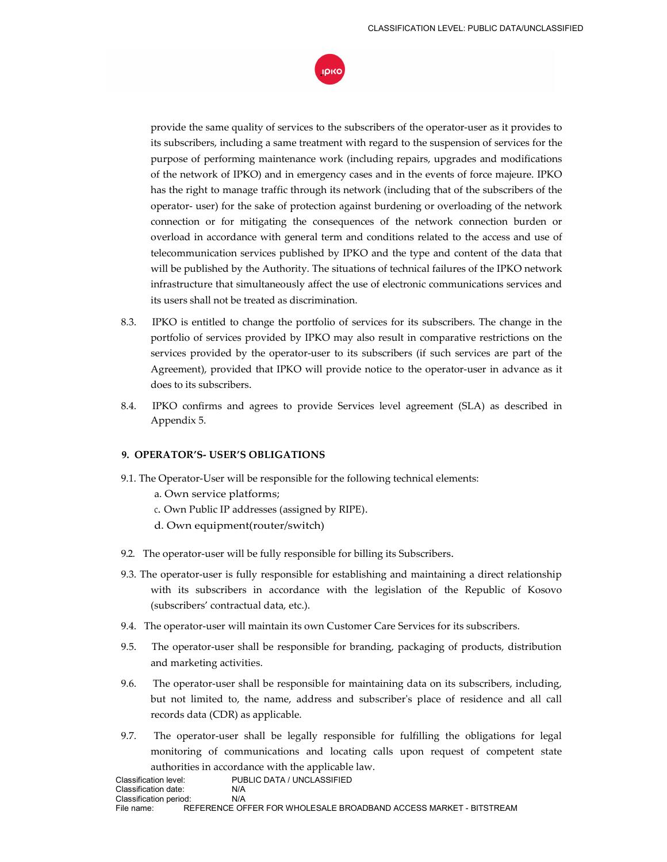

provide the same quality of services to the subscribers of the operator-user as it provides to its subscribers, including a same treatment with regard to the suspension of services for the purpose of performing maintenance work (including repairs, upgrades and modifications of the network of IPKO) and in emergency cases and in the events of force majeure. IPKO has the right to manage traffic through its network (including that of the subscribers of the operator- user) for the sake of protection against burdening or overloading of the network connection or for mitigating the consequences of the network connection burden or overload in accordance with general term and conditions related to the access and use of telecommunication services published by IPKO and the type and content of the data that will be published by the Authority. The situations of technical failures of the IPKO network infrastructure that simultaneously affect the use of electronic communications services and its users shall not be treated as discrimination.

- 8.3. IPKO is entitled to change the portfolio of services for its subscribers. The change in the portfolio of services provided by IPKO may also result in comparative restrictions on the services provided by the operator-user to its subscribers (if such services are part of the Agreement), provided that IPKO will provide notice to the operator-user in advance as it does to its subscribers.
- 8.4. IPKO confirms and agrees to provide Services level agreement (SLA) as described in Appendix 5.

## **9. OPERATOR'S- USER'S OBLIGATIONS**

- 9.1. The Operator-User will be responsible for the following technical elements:
	- a. Own service platforms;
	- c. Own Public IP addresses (assigned by RIPE).
	- d. Own equipment(router/switch)
- 9.2. The operator-user will be fully responsible for billing its Subscribers.
- 9.3. The operator-user is fully responsible for establishing and maintaining a direct relationship with its subscribers in accordance with the legislation of the Republic of Kosovo (subscribers' contractual data, etc.).
- 9.4. The operator-user will maintain its own Customer Care Services for its subscribers.
- 9.5. The operator-user shall be responsible for branding, packaging of products, distribution and marketing activities.
- 9.6. The operator-user shall be responsible for maintaining data on its subscribers, including, but not limited to, the name, address and subscriber's place of residence and all call records data (CDR) as applicable.
- 9.7. The operator-user shall be legally responsible for fulfilling the obligations for legal monitoring of communications and locating calls upon request of competent state authorities in accordance with the applicable law.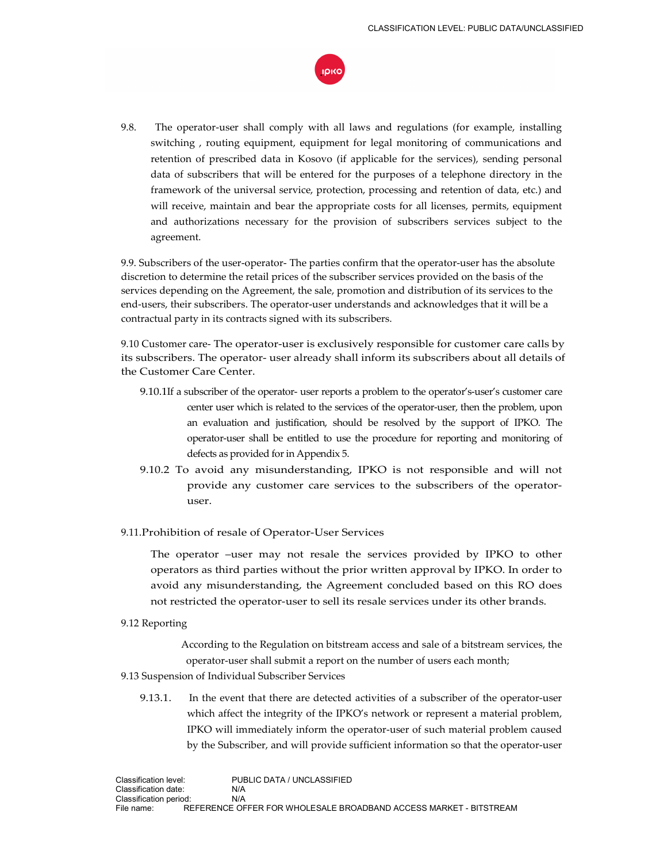

9.8. The operator-user shall comply with all laws and regulations (for example, installing switching , routing equipment, equipment for legal monitoring of communications and retention of prescribed data in Kosovo (if applicable for the services), sending personal data of subscribers that will be entered for the purposes of a telephone directory in the framework of the universal service, protection, processing and retention of data, etc.) and will receive, maintain and bear the appropriate costs for all licenses, permits, equipment and authorizations necessary for the provision of subscribers services subject to the agreement.

9.9. Subscribers of the user-operator- The parties confirm that the operator-user has the absolute discretion to determine the retail prices of the subscriber services provided on the basis of the services depending on the Agreement, the sale, promotion and distribution of its services to the end-users, their subscribers. The operator-user understands and acknowledges that it will be a contractual party in its contracts signed with its subscribers.

9.10 Customer care- The operator-user is exclusively responsible for customer care calls by its subscribers. The operator- user already shall inform its subscribers about all details of the Customer Care Center.

- 9.10.1If a subscriber of the operator- user reports a problem to the operator's-user's customer care center user which is related to the services of the operator-user, then the problem, upon an evaluation and justification, should be resolved by the support of IPKO. The operator-user shall be entitled to use the procedure for reporting and monitoring of defects as provided for in Appendix 5.
- 9.10.2 To avoid any misunderstanding, IPKO is not responsible and will not provide any customer care services to the subscribers of the operatoruser.
- 9.11.Prohibition of resale of Operator-User Services

The operator –user may not resale the services provided by IPKO to other operators as third parties without the prior written approval by IPKO. In order to avoid any misunderstanding, the Agreement concluded based on this RO does not restricted the operator-user to sell its resale services under its other brands.

#### 9.12 Reporting

 According to the Regulation on bitstream access and sale of a bitstream services, the operator-user shall submit a report on the number of users each month;

- 9.13 Suspension of Individual Subscriber Services
	- 9.13.1. In the event that there are detected activities of a subscriber of the operator-user which affect the integrity of the IPKO's network or represent a material problem, IPKO will immediately inform the operator-user of such material problem caused by the Subscriber, and will provide sufficient information so that the operator-user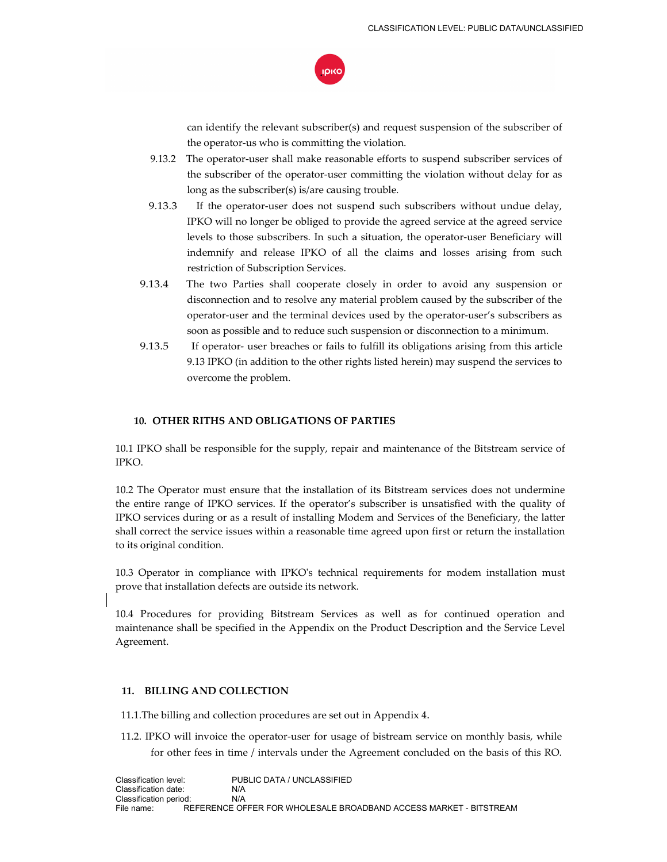

can identify the relevant subscriber(s) and request suspension of the subscriber of the operator-us who is committing the violation.

- 9.13.2 The operator-user shall make reasonable efforts to suspend subscriber services of the subscriber of the operator-user committing the violation without delay for as long as the subscriber(s) is/are causing trouble.
- 9.13.3 If the operator-user does not suspend such subscribers without undue delay, IPKO will no longer be obliged to provide the agreed service at the agreed service levels to those subscribers. In such a situation, the operator-user Beneficiary will indemnify and release IPKO of all the claims and losses arising from such restriction of Subscription Services.
- 9.13.4 The two Parties shall cooperate closely in order to avoid any suspension or disconnection and to resolve any material problem caused by the subscriber of the operator-user and the terminal devices used by the operator-user's subscribers as soon as possible and to reduce such suspension or disconnection to a minimum.
- 9.13.5 If operator- user breaches or fails to fulfill its obligations arising from this article 9.13 IPKO (in addition to the other rights listed herein) may suspend the services to overcome the problem.

## **10. OTHER RITHS AND OBLIGATIONS OF PARTIES**

10.1 IPKO shall be responsible for the supply, repair and maintenance of the Bitstream service of IPKO.

10.2 The Operator must ensure that the installation of its Bitstream services does not undermine the entire range of IPKO services. If the operator's subscriber is unsatisfied with the quality of IPKO services during or as a result of installing Modem and Services of the Beneficiary, the latter shall correct the service issues within a reasonable time agreed upon first or return the installation to its original condition.

10.3 Operator in compliance with IPKO's technical requirements for modem installation must prove that installation defects are outside its network.

10.4 Procedures for providing Bitstream Services as well as for continued operation and maintenance shall be specified in the Appendix on the Product Description and the Service Level Agreement.

## **11. BILLING AND COLLECTION**

11.1.The billing and collection procedures are set out in Appendix 4.

11.2. IPKO will invoice the operator-user for usage of bistream service on monthly basis, while for other fees in time / intervals under the Agreement concluded on the basis of this RO.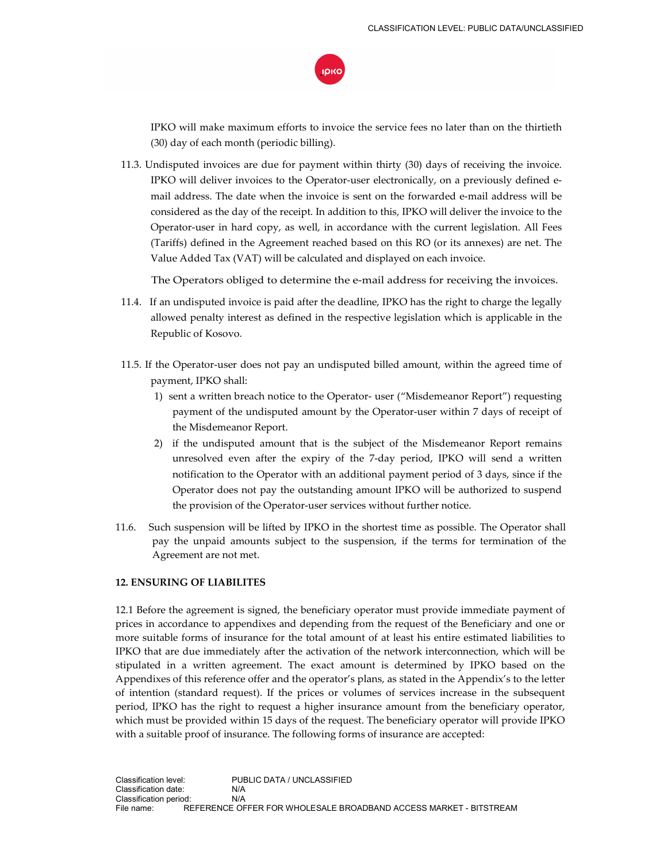

IPKO will make maximum efforts to invoice the service fees no later than on the thirtieth (30) day of each month (periodic billing).

11.3. Undisputed invoices are due for payment within thirty (30) days of receiving the invoice. IPKO will deliver invoices to the Operator-user electronically, on a previously defined email address. The date when the invoice is sent on the forwarded e-mail address will be considered as the day of the receipt. In addition to this, IPKO will deliver the invoice to the Operator-user in hard copy, as well, in accordance with the current legislation. All Fees (Tariffs) defined in the Agreement reached based on this RO (or its annexes) are net. The Value Added Tax (VAT) will be calculated and displayed on each invoice.

The Operators obliged to determine the e-mail address for receiving the invoices.

- 11.4. If an undisputed invoice is paid after the deadline, IPKO has the right to charge the legally allowed penalty interest as defined in the respective legislation which is applicable in the Republic of Kosovo.
- 11.5. If the Operator-user does not pay an undisputed billed amount, within the agreed time of payment, IPKO shall:
	- 1) sent a written breach notice to the Operator- user ("Misdemeanor Report") requesting payment of the undisputed amount by the Operator-user within 7 days of receipt of the Misdemeanor Report.
	- 2) if the undisputed amount that is the subject of the Misdemeanor Report remains unresolved even after the expiry of the 7-day period, IPKO will send a written notification to the Operator with an additional payment period of 3 days, since if the Operator does not pay the outstanding amount IPKO will be authorized to suspend the provision of the Operator-user services without further notice.
- 11.6. Such suspension will be lifted by IPKO in the shortest time as possible. The Operator shall pay the unpaid amounts subject to the suspension, if the terms for termination of the Agreement are not met.

## **12. ENSURING OF LIABILITES**

12.1 Before the agreement is signed, the beneficiary operator must provide immediate payment of prices in accordance to appendixes and depending from the request of the Beneficiary and one or more suitable forms of insurance for the total amount of at least his entire estimated liabilities to IPKO that are due immediately after the activation of the network interconnection, which will be stipulated in a written agreement. The exact amount is determined by IPKO based on the Appendixes of this reference offer and the operator's plans, as stated in the Appendix's to the letter of intention (standard request). If the prices or volumes of services increase in the subsequent period, IPKO has the right to request a higher insurance amount from the beneficiary operator, which must be provided within 15 days of the request. The beneficiary operator will provide IPKO with a suitable proof of insurance. The following forms of insurance are accepted: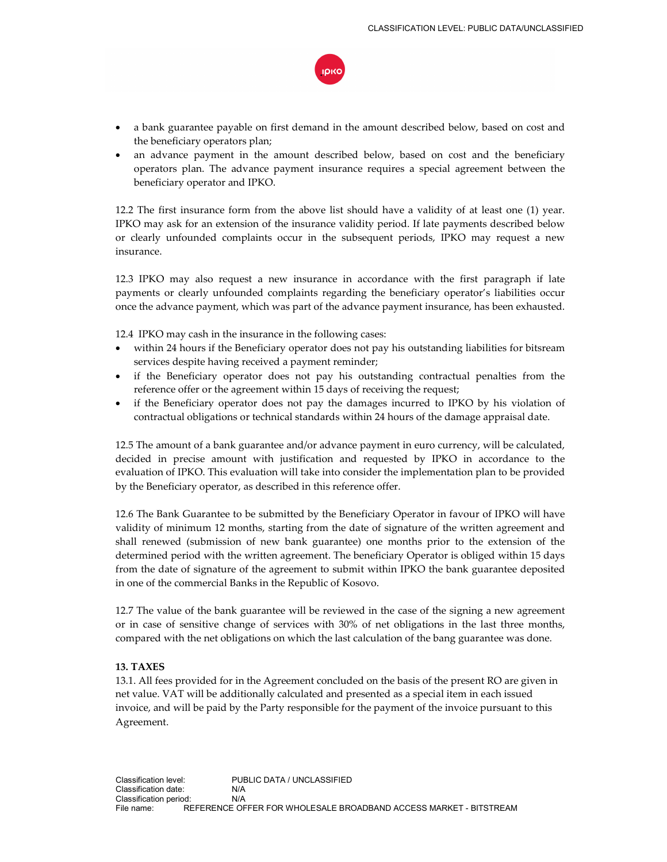

- a bank guarantee payable on first demand in the amount described below, based on cost and the beneficiary operators plan;
- an advance payment in the amount described below, based on cost and the beneficiary operators plan. The advance payment insurance requires a special agreement between the beneficiary operator and IPKO.

12.2 The first insurance form from the above list should have a validity of at least one (1) year. IPKO may ask for an extension of the insurance validity period. If late payments described below or clearly unfounded complaints occur in the subsequent periods, IPKO may request a new insurance.

12.3 IPKO may also request a new insurance in accordance with the first paragraph if late payments or clearly unfounded complaints regarding the beneficiary operator's liabilities occur once the advance payment, which was part of the advance payment insurance, has been exhausted.

12.4 IPKO may cash in the insurance in the following cases:

- within 24 hours if the Beneficiary operator does not pay his outstanding liabilities for bitsream services despite having received a payment reminder;
- if the Beneficiary operator does not pay his outstanding contractual penalties from the reference offer or the agreement within 15 days of receiving the request;
- if the Beneficiary operator does not pay the damages incurred to IPKO by his violation of contractual obligations or technical standards within 24 hours of the damage appraisal date.

12.5 The amount of a bank guarantee and/or advance payment in euro currency, will be calculated, decided in precise amount with justification and requested by IPKO in accordance to the evaluation of IPKO. This evaluation will take into consider the implementation plan to be provided by the Beneficiary operator, as described in this reference offer.

12.6 The Bank Guarantee to be submitted by the Beneficiary Operator in favour of IPKO will have validity of minimum 12 months, starting from the date of signature of the written agreement and shall renewed (submission of new bank guarantee) one months prior to the extension of the determined period with the written agreement. The beneficiary Operator is obliged within 15 days from the date of signature of the agreement to submit within IPKO the bank guarantee deposited in one of the commercial Banks in the Republic of Kosovo.

12.7 The value of the bank guarantee will be reviewed in the case of the signing a new agreement or in case of sensitive change of services with 30% of net obligations in the last three months, compared with the net obligations on which the last calculation of the bang guarantee was done.

## **13. TAXES**

13.1. All fees provided for in the Agreement concluded on the basis of the present RO are given in net value. VAT will be additionally calculated and presented as a special item in each issued invoice, and will be paid by the Party responsible for the payment of the invoice pursuant to this Agreement.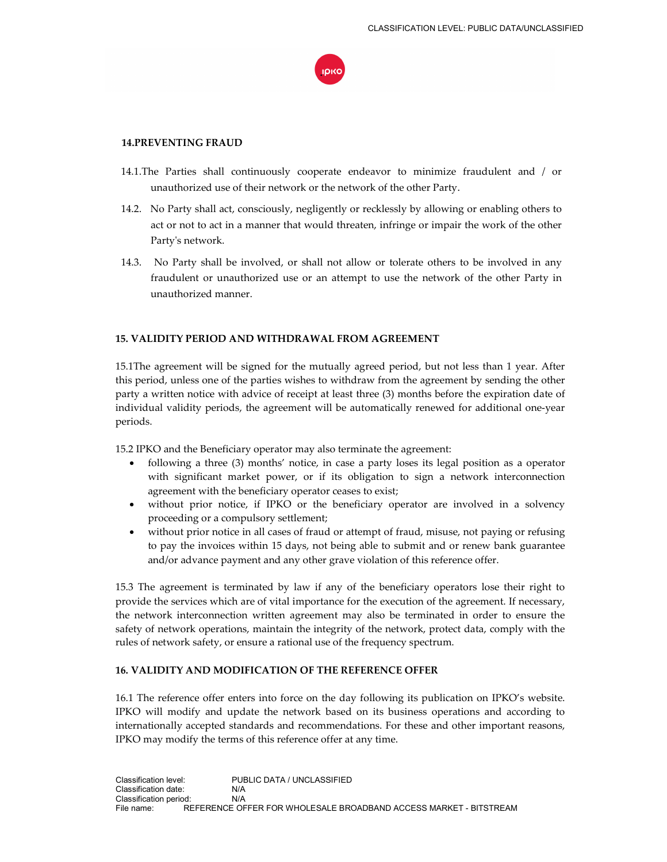

## **14.PREVENTING FRAUD**

- 14.1.The Parties shall continuously cooperate endeavor to minimize fraudulent and / or unauthorized use of their network or the network of the other Party.
- 14.2. No Party shall act, consciously, negligently or recklessly by allowing or enabling others to act or not to act in a manner that would threaten, infringe or impair the work of the other Party's network.
- 14.3. No Party shall be involved, or shall not allow or tolerate others to be involved in any fraudulent or unauthorized use or an attempt to use the network of the other Party in unauthorized manner.

## **15. VALIDITY PERIOD AND WITHDRAWAL FROM AGREEMENT**

15.1The agreement will be signed for the mutually agreed period, but not less than 1 year. After this period, unless one of the parties wishes to withdraw from the agreement by sending the other party a written notice with advice of receipt at least three (3) months before the expiration date of individual validity periods, the agreement will be automatically renewed for additional one-year periods.

15.2 IPKO and the Beneficiary operator may also terminate the agreement:

- following a three (3) months' notice, in case a party loses its legal position as a operator with significant market power, or if its obligation to sign a network interconnection agreement with the beneficiary operator ceases to exist;
- without prior notice, if IPKO or the beneficiary operator are involved in a solvency proceeding or a compulsory settlement;
- without prior notice in all cases of fraud or attempt of fraud, misuse, not paying or refusing to pay the invoices within 15 days, not being able to submit and or renew bank guarantee and/or advance payment and any other grave violation of this reference offer.

15.3 The agreement is terminated by law if any of the beneficiary operators lose their right to provide the services which are of vital importance for the execution of the agreement. If necessary, the network interconnection written agreement may also be terminated in order to ensure the safety of network operations, maintain the integrity of the network, protect data, comply with the rules of network safety, or ensure a rational use of the frequency spectrum.

## **16. VALIDITY AND MODIFICATION OF THE REFERENCE OFFER**

16.1 The reference offer enters into force on the day following its publication on IPKO's website. IPKO will modify and update the network based on its business operations and according to internationally accepted standards and recommendations. For these and other important reasons, IPKO may modify the terms of this reference offer at any time.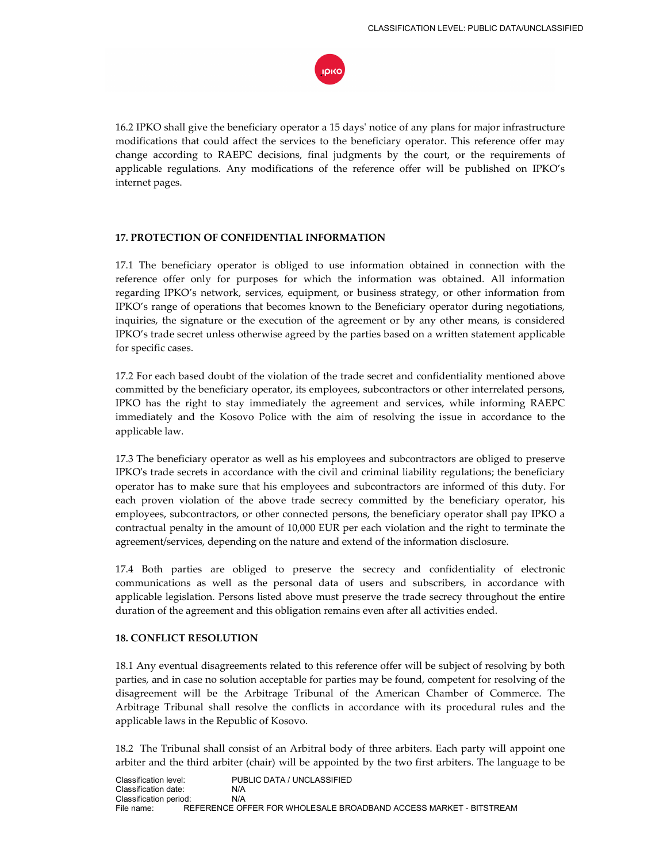

16.2 IPKO shall give the beneficiary operator a 15 days' notice of any plans for major infrastructure modifications that could affect the services to the beneficiary operator. This reference offer may change according to RAEPC decisions, final judgments by the court, or the requirements of applicable regulations. Any modifications of the reference offer will be published on IPKO's internet pages.

## **17. PROTECTION OF CONFIDENTIAL INFORMATION**

17.1 The beneficiary operator is obliged to use information obtained in connection with the reference offer only for purposes for which the information was obtained. All information regarding IPKO's network, services, equipment, or business strategy, or other information from IPKO's range of operations that becomes known to the Beneficiary operator during negotiations, inquiries, the signature or the execution of the agreement or by any other means, is considered IPKO's trade secret unless otherwise agreed by the parties based on a written statement applicable for specific cases.

17.2 For each based doubt of the violation of the trade secret and confidentiality mentioned above committed by the beneficiary operator, its employees, subcontractors or other interrelated persons, IPKO has the right to stay immediately the agreement and services, while informing RAEPC immediately and the Kosovo Police with the aim of resolving the issue in accordance to the applicable law.

17.3 The beneficiary operator as well as his employees and subcontractors are obliged to preserve IPKO's trade secrets in accordance with the civil and criminal liability regulations; the beneficiary operator has to make sure that his employees and subcontractors are informed of this duty. For each proven violation of the above trade secrecy committed by the beneficiary operator, his employees, subcontractors, or other connected persons, the beneficiary operator shall pay IPKO a contractual penalty in the amount of 10,000 EUR per each violation and the right to terminate the agreement/services, depending on the nature and extend of the information disclosure.

17.4 Both parties are obliged to preserve the secrecy and confidentiality of electronic communications as well as the personal data of users and subscribers, in accordance with applicable legislation. Persons listed above must preserve the trade secrecy throughout the entire duration of the agreement and this obligation remains even after all activities ended.

#### **18. CONFLICT RESOLUTION**

18.1 Any eventual disagreements related to this reference offer will be subject of resolving by both parties, and in case no solution acceptable for parties may be found, competent for resolving of the disagreement will be the Arbitrage Tribunal of the American Chamber of Commerce. The Arbitrage Tribunal shall resolve the conflicts in accordance with its procedural rules and the applicable laws in the Republic of Kosovo.

18.2 The Tribunal shall consist of an Arbitral body of three arbiters. Each party will appoint one arbiter and the third arbiter (chair) will be appointed by the two first arbiters. The language to be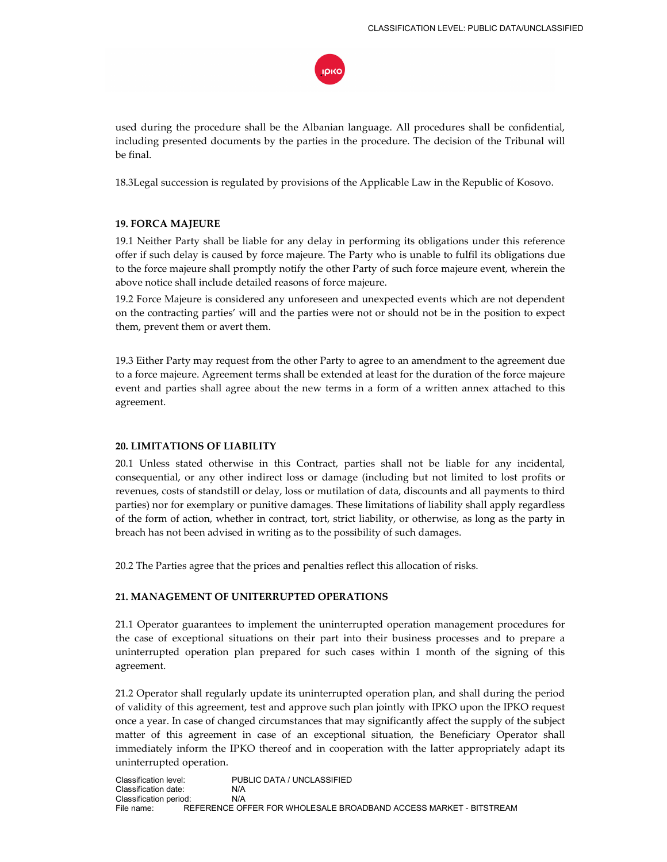

used during the procedure shall be the Albanian language. All procedures shall be confidential, including presented documents by the parties in the procedure. The decision of the Tribunal will be final.

18.3Legal succession is regulated by provisions of the Applicable Law in the Republic of Kosovo.

## **19. FORCA MAJEURE**

19.1 Neither Party shall be liable for any delay in performing its obligations under this reference offer if such delay is caused by force majeure. The Party who is unable to fulfil its obligations due to the force majeure shall promptly notify the other Party of such force majeure event, wherein the above notice shall include detailed reasons of force majeure.

19.2 Force Majeure is considered any unforeseen and unexpected events which are not dependent on the contracting parties' will and the parties were not or should not be in the position to expect them, prevent them or avert them.

19.3 Either Party may request from the other Party to agree to an amendment to the agreement due to a force majeure. Agreement terms shall be extended at least for the duration of the force majeure event and parties shall agree about the new terms in a form of a written annex attached to this agreement.

## **20. LIMITATIONS OF LIABILITY**

20.1 Unless stated otherwise in this Contract, parties shall not be liable for any incidental, consequential, or any other indirect loss or damage (including but not limited to lost profits or revenues, costs of standstill or delay, loss or mutilation of data, discounts and all payments to third parties) nor for exemplary or punitive damages. These limitations of liability shall apply regardless of the form of action, whether in contract, tort, strict liability, or otherwise, as long as the party in breach has not been advised in writing as to the possibility of such damages.

20.2 The Parties agree that the prices and penalties reflect this allocation of risks.

# **21. MANAGEMENT OF UNITERRUPTED OPERATIONS**

21.1 Operator guarantees to implement the uninterrupted operation management procedures for the case of exceptional situations on their part into their business processes and to prepare a uninterrupted operation plan prepared for such cases within 1 month of the signing of this agreement.

21.2 Operator shall regularly update its uninterrupted operation plan, and shall during the period of validity of this agreement, test and approve such plan jointly with IPKO upon the IPKO request once a year. In case of changed circumstances that may significantly affect the supply of the subject matter of this agreement in case of an exceptional situation, the Beneficiary Operator shall immediately inform the IPKO thereof and in cooperation with the latter appropriately adapt its uninterrupted operation.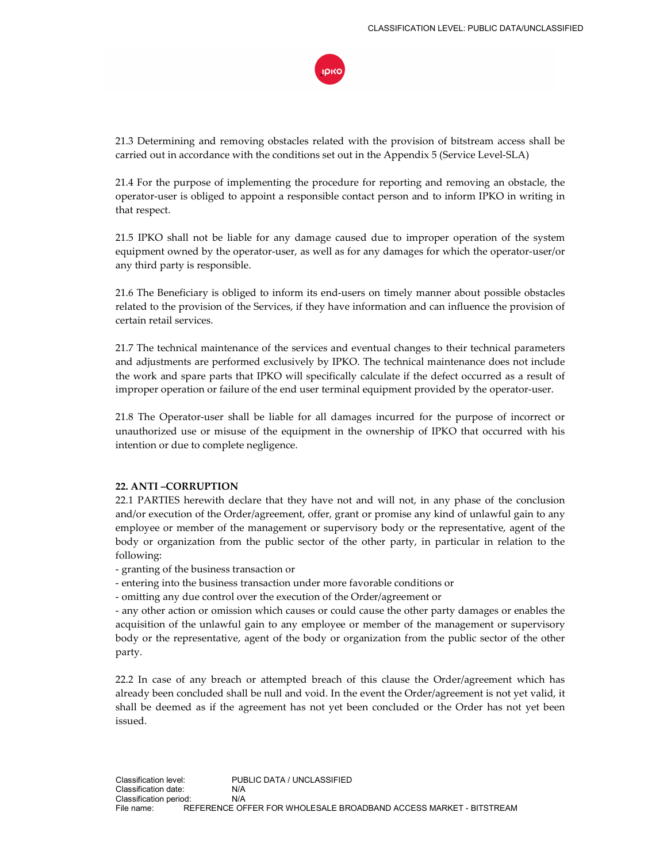

21.3 Determining and removing obstacles related with the provision of bitstream access shall be carried out in accordance with the conditions set out in the Appendix 5 (Service Level-SLA)

21.4 For the purpose of implementing the procedure for reporting and removing an obstacle, the operator-user is obliged to appoint a responsible contact person and to inform IPKO in writing in that respect.

21.5 IPKO shall not be liable for any damage caused due to improper operation of the system equipment owned by the operator-user, as well as for any damages for which the operator-user/or any third party is responsible.

21.6 The Beneficiary is obliged to inform its end-users on timely manner about possible obstacles related to the provision of the Services, if they have information and can influence the provision of certain retail services.

21.7 The technical maintenance of the services and eventual changes to their technical parameters and adjustments are performed exclusively by IPKO. The technical maintenance does not include the work and spare parts that IPKO will specifically calculate if the defect occurred as a result of improper operation or failure of the end user terminal equipment provided by the operator-user.

21.8 The Operator-user shall be liable for all damages incurred for the purpose of incorrect or unauthorized use or misuse of the equipment in the ownership of IPKO that occurred with his intention or due to complete negligence.

## **22. ANTI –CORRUPTION**

22.1 PARTIES herewith declare that they have not and will not, in any phase of the conclusion and/or execution of the Order/agreement, offer, grant or promise any kind of unlawful gain to any employee or member of the management or supervisory body or the representative, agent of the body or organization from the public sector of the other party, in particular in relation to the following:

- granting of the business transaction or

- entering into the business transaction under more favorable conditions or

- omitting any due control over the execution of the Order/agreement or

- any other action or omission which causes or could cause the other party damages or enables the acquisition of the unlawful gain to any employee or member of the management or supervisory body or the representative, agent of the body or organization from the public sector of the other party.

22.2 In case of any breach or attempted breach of this clause the Order/agreement which has already been concluded shall be null and void. In the event the Order/agreement is not yet valid, it shall be deemed as if the agreement has not yet been concluded or the Order has not yet been issued.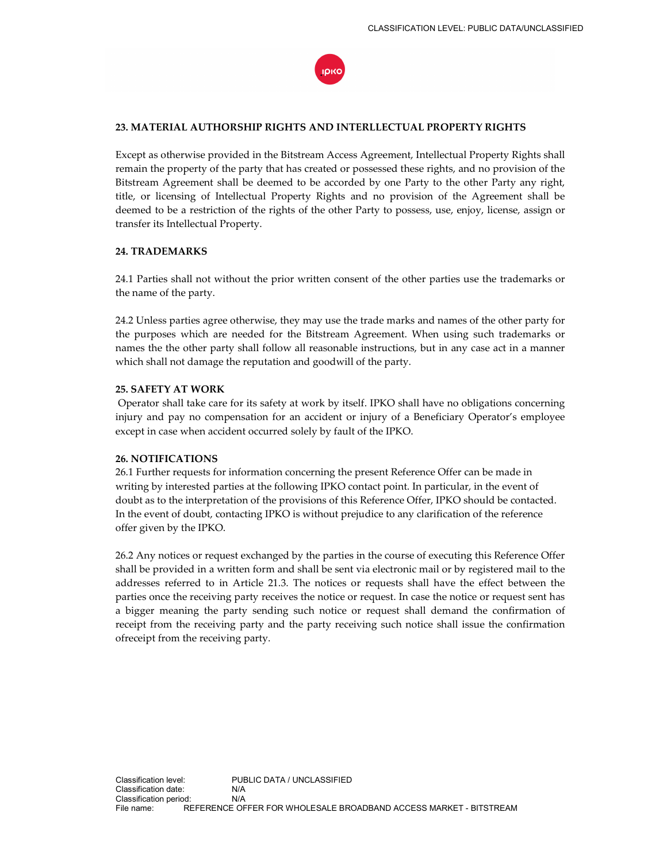

## **23. MATERIAL AUTHORSHIP RIGHTS AND INTERLLECTUAL PROPERTY RIGHTS**

Except as otherwise provided in the Bitstream Access Agreement, Intellectual Property Rights shall remain the property of the party that has created or possessed these rights, and no provision of the Bitstream Agreement shall be deemed to be accorded by one Party to the other Party any right, title, or licensing of Intellectual Property Rights and no provision of the Agreement shall be deemed to be a restriction of the rights of the other Party to possess, use, enjoy, license, assign or transfer its Intellectual Property.

## **24. TRADEMARKS**

24.1 Parties shall not without the prior written consent of the other parties use the trademarks or the name of the party.

24.2 Unless parties agree otherwise, they may use the trade marks and names of the other party for the purposes which are needed for the Bitstream Agreement. When using such trademarks or names the the other party shall follow all reasonable instructions, but in any case act in a manner which shall not damage the reputation and goodwill of the party.

## **25. SAFETY AT WORK**

 Operator shall take care for its safety at work by itself. IPKO shall have no obligations concerning injury and pay no compensation for an accident or injury of a Beneficiary Operator's employee except in case when accident occurred solely by fault of the IPKO.

#### **26. NOTIFICATIONS**

26.1 Further requests for information concerning the present Reference Offer can be made in writing by interested parties at the following IPKO contact point. In particular, in the event of doubt as to the interpretation of the provisions of this Reference Offer, IPKO should be contacted. In the event of doubt, contacting IPKO is without prejudice to any clarification of the reference offer given by the IPKO.

26.2 Any notices or request exchanged by the parties in the course of executing this Reference Offer shall be provided in a written form and shall be sent via electronic mail or by registered mail to the addresses referred to in Article 21.3. The notices or requests shall have the effect between the parties once the receiving party receives the notice or request. In case the notice or request sent has a bigger meaning the party sending such notice or request shall demand the confirmation of receipt from the receiving party and the party receiving such notice shall issue the confirmation ofreceipt from the receiving party.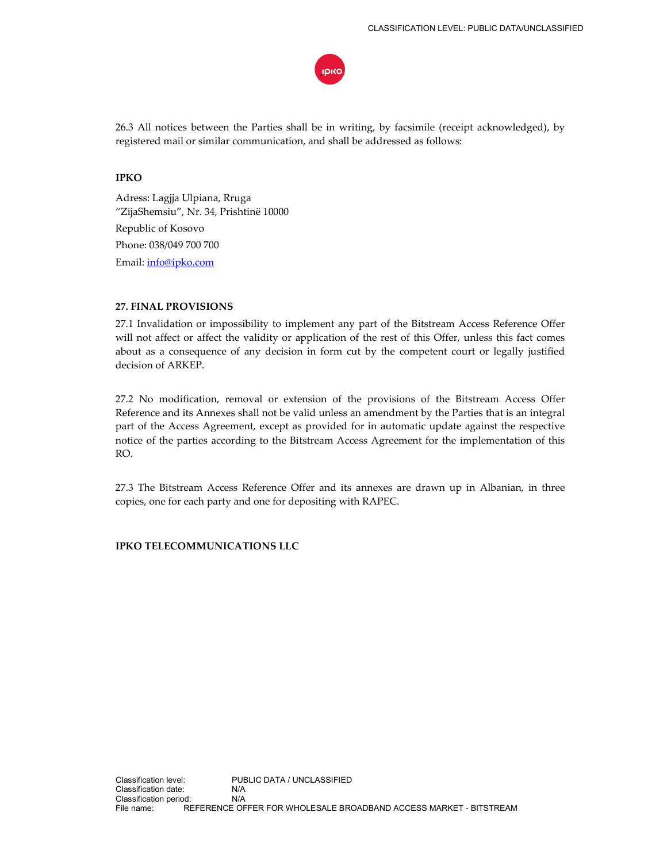

26.3 All notices between the Parties shall be in writing, by facsimile (receipt acknowledged), by registered mail or similar communication, and shall be addressed as follows:

# **IPKO**

Adress: Lagjja Ulpiana, Rruga "ZijaShemsiu", Nr. 34, Prishtinë 10000 Republic of Kosovo Phone: 038/049 700 700 Email: info@ipko.com

## **27. FINAL PROVISIONS**

27.1 Invalidation or impossibility to implement any part of the Bitstream Access Reference Offer will not affect or affect the validity or application of the rest of this Offer, unless this fact comes about as a consequence of any decision in form cut by the competent court or legally justified decision of ARKEP.

27.2 No modification, removal or extension of the provisions of the Bitstream Access Offer Reference and its Annexes shall not be valid unless an amendment by the Parties that is an integral part of the Access Agreement, except as provided for in automatic update against the respective notice of the parties according to the Bitstream Access Agreement for the implementation of this RO.

27.3 The Bitstream Access Reference Offer and its annexes are drawn up in Albanian, in three copies, one for each party and one for depositing with RAPEC.

## **IPKO TELECOMMUNICATIONS LLC**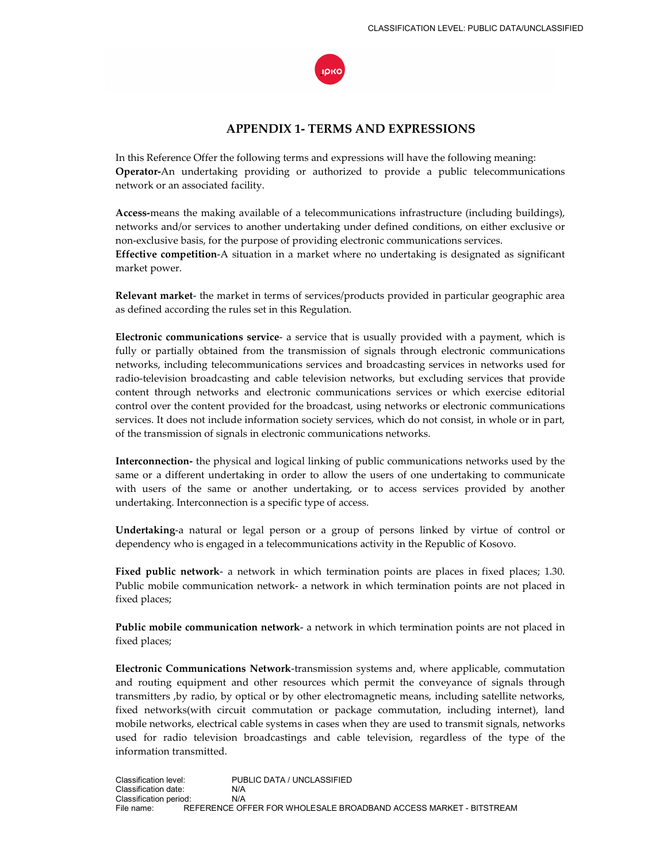

# **APPENDIX 1- TERMS AND EXPRESSIONS**

In this Reference Offer the following terms and expressions will have the following meaning: **Operator-**An undertaking providing or authorized to provide a public telecommunications network or an associated facility.

**Access-**means the making available of a telecommunications infrastructure (including buildings), networks and/or services to another undertaking under defined conditions, on either exclusive or non-exclusive basis, for the purpose of providing electronic communications services. **Effective competition-**A situation in a market where no undertaking is designated as significant market power.

**Relevant market-** the market in terms of services/products provided in particular geographic area as defined according the rules set in this Regulation.

**Electronic communications service**- a service that is usually provided with a payment, which is fully or partially obtained from the transmission of signals through electronic communications networks, including telecommunications services and broadcasting services in networks used for radio-television broadcasting and cable television networks, but excluding services that provide content through networks and electronic communications services or which exercise editorial control over the content provided for the broadcast, using networks or electronic communications services. It does not include information society services, which do not consist, in whole or in part, of the transmission of signals in electronic communications networks.

**Interconnection-** the physical and logical linking of public communications networks used by the same or a different undertaking in order to allow the users of one undertaking to communicate with users of the same or another undertaking, or to access services provided by another undertaking. Interconnection is a specific type of access.

**Undertaking**-a natural or legal person or a group of persons linked by virtue of control or dependency who is engaged in a telecommunications activity in the Republic of Kosovo.

**Fixed public network-** a network in which termination points are places in fixed places; 1.30. Public mobile communication network- a network in which termination points are not placed in fixed places;

**Public mobile communication network-** a network in which termination points are not placed in fixed places;

**Electronic Communications Network-**transmission systems and, where applicable, commutation and routing equipment and other resources which permit the conveyance of signals through transmitters ,by radio, by optical or by other electromagnetic means, including satellite networks, fixed networks(with circuit commutation or package commutation, including internet), land mobile networks, electrical cable systems in cases when they are used to transmit signals, networks used for radio television broadcastings and cable television, regardless of the type of the information transmitted.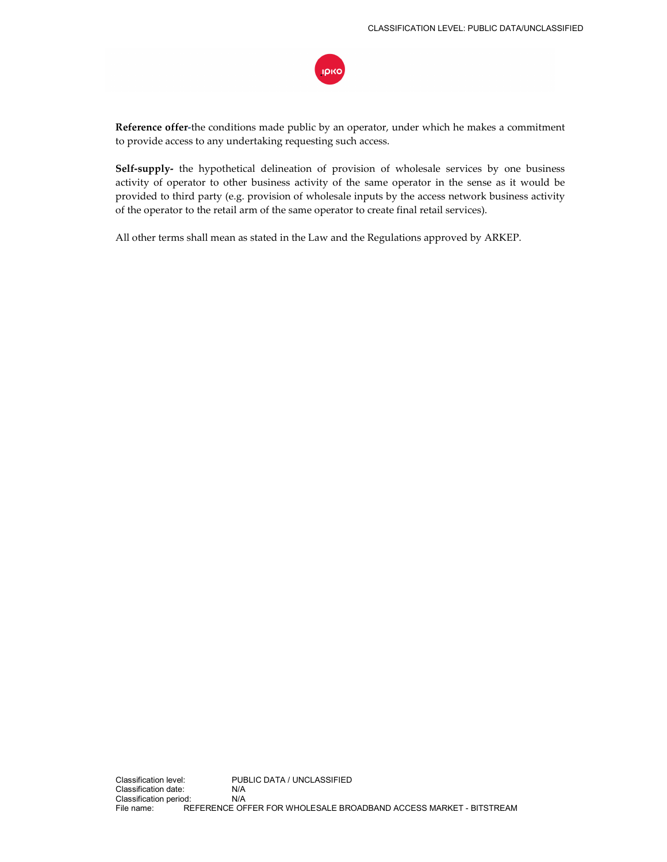ιρικο

**Reference offer-**the conditions made public by an operator, under which he makes a commitment to provide access to any undertaking requesting such access.

**Self-supply-** the hypothetical delineation of provision of wholesale services by one business activity of operator to other business activity of the same operator in the sense as it would be provided to third party (e.g. provision of wholesale inputs by the access network business activity of the operator to the retail arm of the same operator to create final retail services).

All other terms shall mean as stated in the Law and the Regulations approved by ARKEP.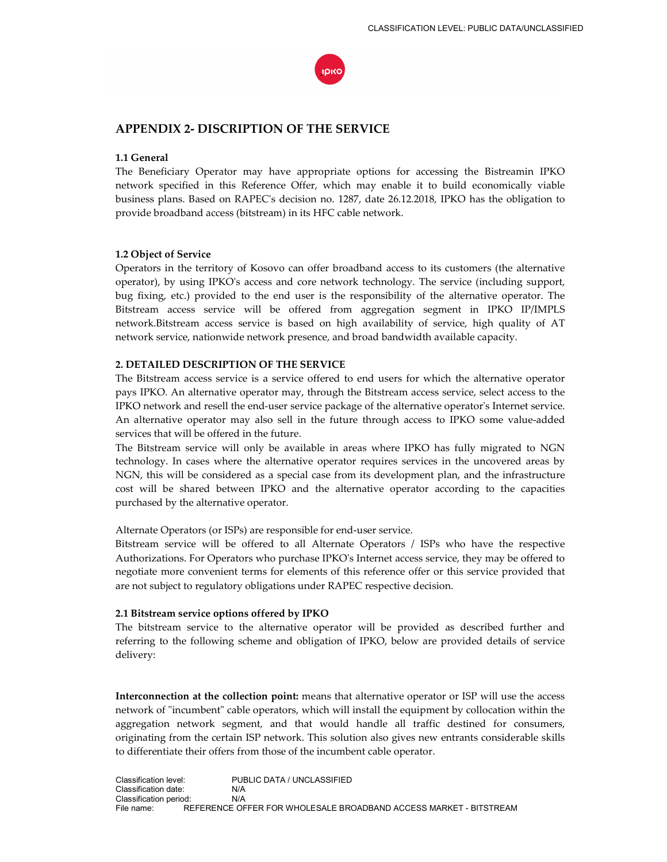

# **APPENDIX 2- DISCRIPTION OF THE SERVICE**

### **1.1 General**

The Beneficiary Operator may have appropriate options for accessing the Bistreamin IPKO network specified in this Reference Offer, which may enable it to build economically viable business plans. Based on RAPEC's decision no. 1287, date 26.12.2018, IPKO has the obligation to provide broadband access (bitstream) in its HFC cable network.

#### **1.2 Object of Service**

Operators in the territory of Kosovo can offer broadband access to its customers (the alternative operator), by using IPKO's access and core network technology. The service (including support, bug fixing, etc.) provided to the end user is the responsibility of the alternative operator. The Bitstream access service will be offered from aggregation segment in IPKO IP/IMPLS network.Bitstream access service is based on high availability of service, high quality of AT network service, nationwide network presence, and broad bandwidth available capacity.

#### **2. DETAILED DESCRIPTION OF THE SERVICE**

The Bitstream access service is a service offered to end users for which the alternative operator pays IPKO. An alternative operator may, through the Bitstream access service, select access to the IPKO network and resell the end-user service package of the alternative operator's Internet service. An alternative operator may also sell in the future through access to IPKO some value-added services that will be offered in the future.

The Bitstream service will only be available in areas where IPKO has fully migrated to NGN technology. In cases where the alternative operator requires services in the uncovered areas by NGN, this will be considered as a special case from its development plan, and the infrastructure cost will be shared between IPKO and the alternative operator according to the capacities purchased by the alternative operator.

Alternate Operators (or ISPs) are responsible for end-user service.

Bitstream service will be offered to all Alternate Operators / ISPs who have the respective Authorizations. For Operators who purchase IPKO's Internet access service, they may be offered to negotiate more convenient terms for elements of this reference offer or this service provided that are not subject to regulatory obligations under RAPEC respective decision.

#### **2.1 Bitstream service options offered by IPKO**

The bitstream service to the alternative operator will be provided as described further and referring to the following scheme and obligation of IPKO, below are provided details of service delivery:

**Interconnection at the collection point:** means that alternative operator or ISP will use the access network of "incumbent" cable operators, which will install the equipment by collocation within the aggregation network segment, and that would handle all traffic destined for consumers, originating from the certain ISP network. This solution also gives new entrants considerable skills to differentiate their offers from those of the incumbent cable operator.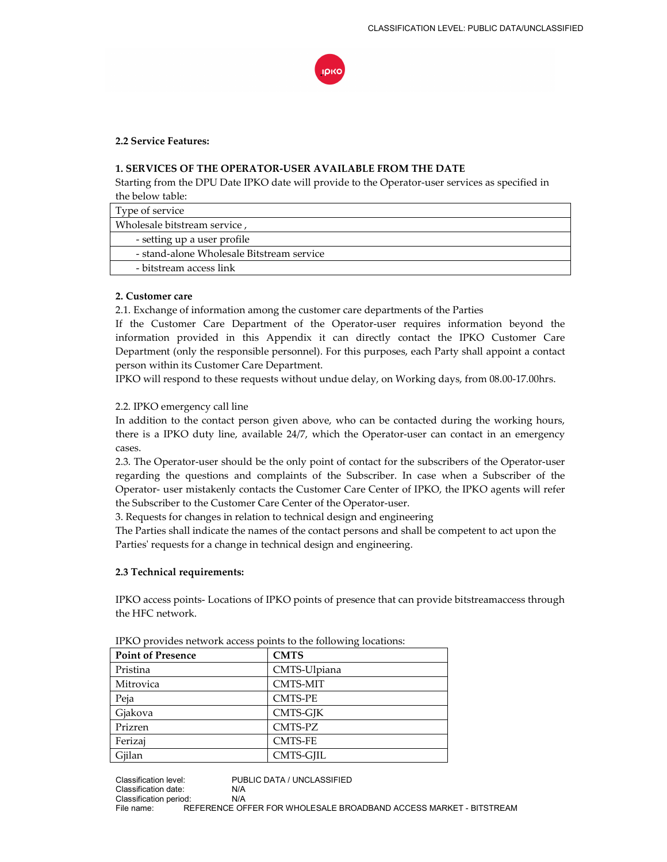

## **2.2 Service Features:**

## **1. SERVICES OF THE OPERATOR-USER AVAILABLE FROM THE DATE**

Starting from the DPU Date IPKO date will provide to the Operator-user services as specified in the below table:

| Type of service                           |
|-------------------------------------------|
| Wholesale bitstream service,              |
| - setting up a user profile               |
| - stand-alone Wholesale Bitstream service |
| - bitstream access link                   |

#### **2. Customer care**

2.1. Exchange of information among the customer care departments of the Parties

If the Customer Care Department of the Operator-user requires information beyond the information provided in this Appendix it can directly contact the IPKO Customer Care Department (only the responsible personnel). For this purposes, each Party shall appoint a contact person within its Customer Care Department.

IPKO will respond to these requests without undue delay, on Working days, from 08.00-17.00hrs.

#### 2.2. IPKO emergency call line

In addition to the contact person given above, who can be contacted during the working hours, there is a IPKO duty line, available 24/7, which the Operator-user can contact in an emergency cases.

2.3. The Operator-user should be the only point of contact for the subscribers of the Operator-user regarding the questions and complaints of the Subscriber. In case when a Subscriber of the Operator- user mistakenly contacts the Customer Care Center of IPKO, the IPKO agents will refer the Subscriber to the Customer Care Center of the Operator-user.

3. Requests for changes in relation to technical design and engineering

The Parties shall indicate the names of the contact persons and shall be competent to act upon the Parties' requests for a change in technical design and engineering.

#### **2.3 Technical requirements:**

IPKO access points- Locations of IPKO points of presence that can provide bitstreamaccess through the HFC network.

|                          | $\cdot$         |
|--------------------------|-----------------|
| <b>Point of Presence</b> | <b>CMTS</b>     |
| Pristina                 | CMTS-Ulpiana    |
| Mitrovica                | <b>CMTS-MIT</b> |
| Peja                     | <b>CMTS-PE</b>  |
| Gjakova                  | CMTS-GJK        |
| Prizren                  | CMTS-PZ         |
| Ferizaj                  | <b>CMTS-FE</b>  |
| Gjilan                   | CMTS-GJIL       |

IPKO provides network access points to the following locations: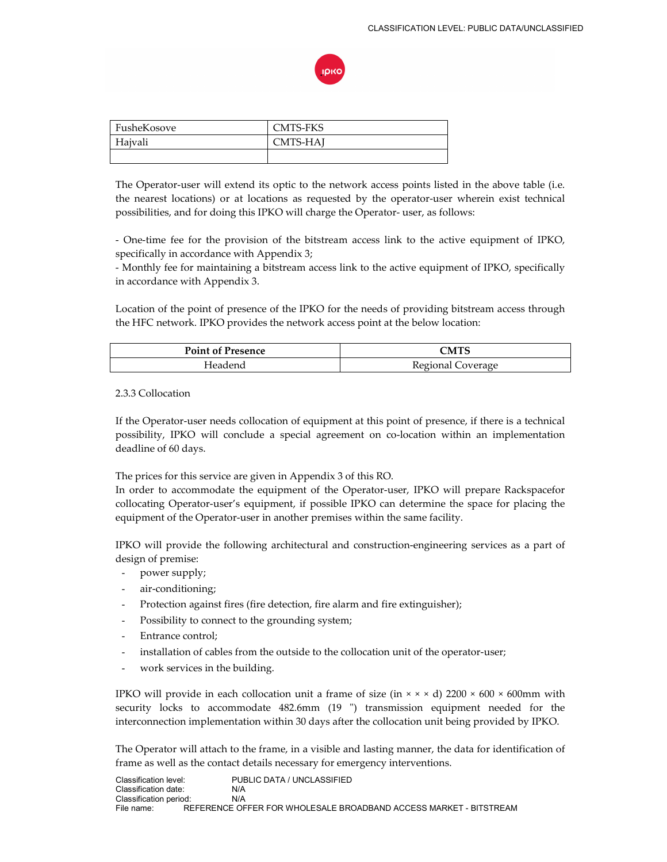

| FusheKosove | <b>CMTS-FKS</b> |
|-------------|-----------------|
| Haivali     | CMTS-HAJ        |
|             |                 |

The Operator-user will extend its optic to the network access points listed in the above table (i.e. the nearest locations) or at locations as requested by the operator-user wherein exist technical possibilities, and for doing this IPKO will charge the Operator- user, as follows:

- One-time fee for the provision of the bitstream access link to the active equipment of IPKO, specifically in accordance with Appendix 3;

- Monthly fee for maintaining a bitstream access link to the active equipment of IPKO, specifically in accordance with Appendix 3.

Location of the point of presence of the IPKO for the needs of providing bitstream access through the HFC network. IPKO provides the network access point at the below location:

| <b>Point of Presence</b> | CMTS                           |
|--------------------------|--------------------------------|
|                          | Regional $C_{\ell}$<br>overage |

## 2.3.3 Collocation

If the Operator-user needs collocation of equipment at this point of presence, if there is a technical possibility, IPKO will conclude a special agreement on co-location within an implementation deadline of 60 days.

The prices for this service are given in Appendix 3 of this RO.

In order to accommodate the equipment of the Operator-user, IPKO will prepare Rackspacefor collocating Operator-user's equipment, if possible IPKO can determine the space for placing the equipment of the Operator-user in another premises within the same facility.

IPKO will provide the following architectural and construction-engineering services as a part of design of premise:

- power supply;
- air-conditioning;
- Protection against fires (fire detection, fire alarm and fire extinguisher);
- Possibility to connect to the grounding system;
- Entrance control;
- installation of cables from the outside to the collocation unit of the operator-user;
- work services in the building.

IPKO will provide in each collocation unit a frame of size (in  $\times \times \times$  d) 2200  $\times$  600  $\times$  600mm with security locks to accommodate 482.6mm (19 ") transmission equipment needed for the interconnection implementation within 30 days after the collocation unit being provided by IPKO.

The Operator will attach to the frame, in a visible and lasting manner, the data for identification of frame as well as the contact details necessary for emergency interventions.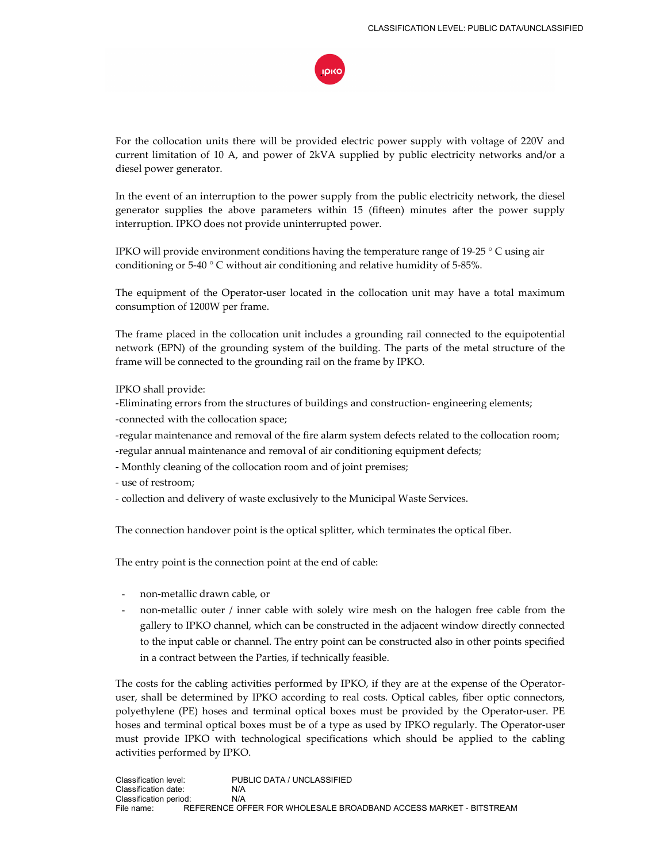

For the collocation units there will be provided electric power supply with voltage of 220V and current limitation of 10 A, and power of 2kVA supplied by public electricity networks and/or a diesel power generator.

In the event of an interruption to the power supply from the public electricity network, the diesel generator supplies the above parameters within 15 (fifteen) minutes after the power supply interruption. IPKO does not provide uninterrupted power.

IPKO will provide environment conditions having the temperature range of 19-25 ° C using air conditioning or 5-40 ° C without air conditioning and relative humidity of 5-85%.

The equipment of the Operator-user located in the collocation unit may have a total maximum consumption of 1200W per frame.

The frame placed in the collocation unit includes a grounding rail connected to the equipotential network (EPN) of the grounding system of the building. The parts of the metal structure of the frame will be connected to the grounding rail on the frame by IPKO.

IPKO shall provide:

- -Eliminating errors from the structures of buildings and construction- engineering elements;
- -connected with the collocation space;
- -regular maintenance and removal of the fire alarm system defects related to the collocation room;
- -regular annual maintenance and removal of air conditioning equipment defects;
- Monthly cleaning of the collocation room and of joint premises;
- use of restroom;
- collection and delivery of waste exclusively to the Municipal Waste Services.

The connection handover point is the optical splitter, which terminates the optical fiber.

The entry point is the connection point at the end of cable:

- non-metallic drawn cable, or
- non-metallic outer / inner cable with solely wire mesh on the halogen free cable from the gallery to IPKO channel, which can be constructed in the adjacent window directly connected to the input cable or channel. The entry point can be constructed also in other points specified in a contract between the Parties, if technically feasible.

The costs for the cabling activities performed by IPKO, if they are at the expense of the Operatoruser, shall be determined by IPKO according to real costs. Optical cables, fiber optic connectors, polyethylene (PE) hoses and terminal optical boxes must be provided by the Operator-user. PE hoses and terminal optical boxes must be of a type as used by IPKO regularly. The Operator-user must provide IPKO with technological specifications which should be applied to the cabling activities performed by IPKO.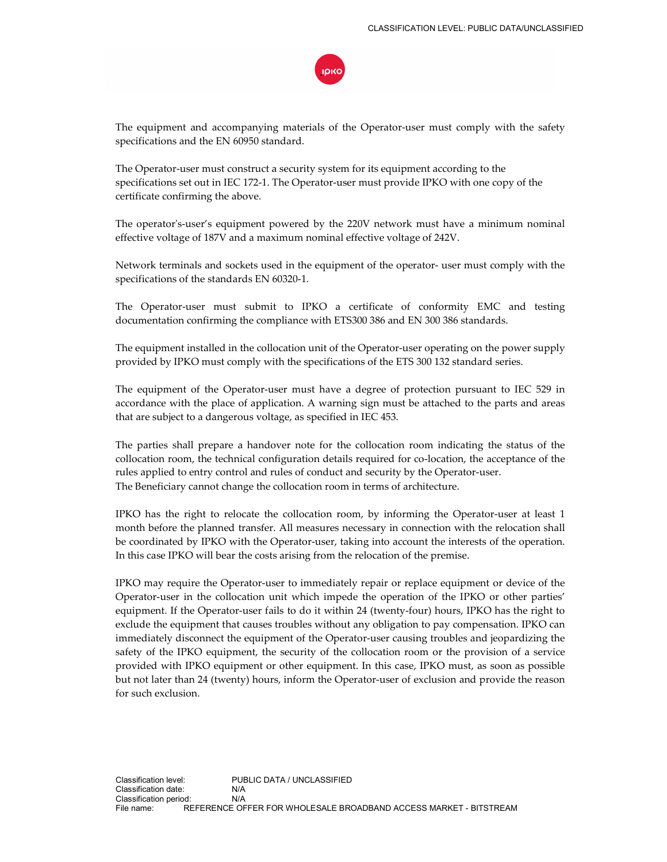The equipment and accompanying materials of the Operator-user must comply with the safety specifications and the EN 60950 standard.

The Operator-user must construct a security system for its equipment according to the specifications set out in IEC 172-1. The Operator-user must provide IPKO with one copy of the certificate confirming the above.

The operator's-user's equipment powered by the 220V network must have a minimum nominal effective voltage of 187V and a maximum nominal effective voltage of 242V.

Network terminals and sockets used in the equipment of the operator- user must comply with the specifications of the standards EN 60320-1.

The Operator-user must submit to IPKO a certificate of conformity EMC and testing documentation confirming the compliance with ETS300 386 and EN 300 386 standards.

The equipment installed in the collocation unit of the Operator-user operating on the power supply provided by IPKO must comply with the specifications of the ETS 300 132 standard series.

The equipment of the Operator-user must have a degree of protection pursuant to IEC 529 in accordance with the place of application. A warning sign must be attached to the parts and areas that are subject to a dangerous voltage, as specified in IEC 453.

The parties shall prepare a handover note for the collocation room indicating the status of the collocation room, the technical configuration details required for co-location, the acceptance of the rules applied to entry control and rules of conduct and security by the Operator-user. The Beneficiary cannot change the collocation room in terms of architecture.

IPKO has the right to relocate the collocation room, by informing the Operator-user at least 1 month before the planned transfer. All measures necessary in connection with the relocation shall be coordinated by IPKO with the Operator-user, taking into account the interests of the operation. In this case IPKO will bear the costs arising from the relocation of the premise.

IPKO may require the Operator-user to immediately repair or replace equipment or device of the Operator-user in the collocation unit which impede the operation of the IPKO or other parties' equipment. If the Operator-user fails to do it within 24 (twenty-four) hours, IPKO has the right to exclude the equipment that causes troubles without any obligation to pay compensation. IPKO can immediately disconnect the equipment of the Operator-user causing troubles and jeopardizing the safety of the IPKO equipment, the security of the collocation room or the provision of a service provided with IPKO equipment or other equipment. In this case, IPKO must, as soon as possible but not later than 24 (twenty) hours, inform the Operator-user of exclusion and provide the reason for such exclusion.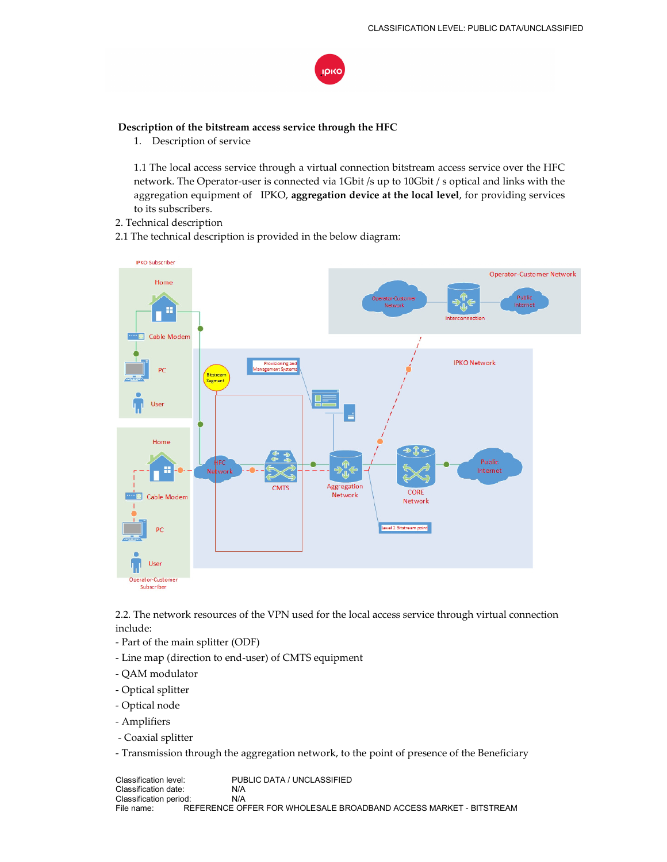

## **Description of the bitstream access service through the HFC**

1. Description of service

1.1 The local access service through a virtual connection bitstream access service over the HFC network. The Operator-user is connected via 1Gbit /s up to 10Gbit / s optical and links with the aggregation equipment of IPKO, **aggregation device at the local level**, for providing services to its subscribers.

2. Technical description

2.1 The technical description is provided in the below diagram:



2.2. The network resources of the VPN used for the local access service through virtual connection include:

- Part of the main splitter (ODF)
- Line map (direction to end-user) of CMTS equipment
- QAM modulator
- Optical splitter
- Optical node
- Amplifiers
- Coaxial splitter
- Transmission through the aggregation network, to the point of presence of the Beneficiary

Classification level: PUBLIC DATA / UNCLASSIFIED<br>Classification date: N/A Classification date: Classification period: N/A<br>File name: REFERENCE OF REFERENCE OFFER FOR WHOLESALE BROADBAND ACCESS MARKET - BITSTREAM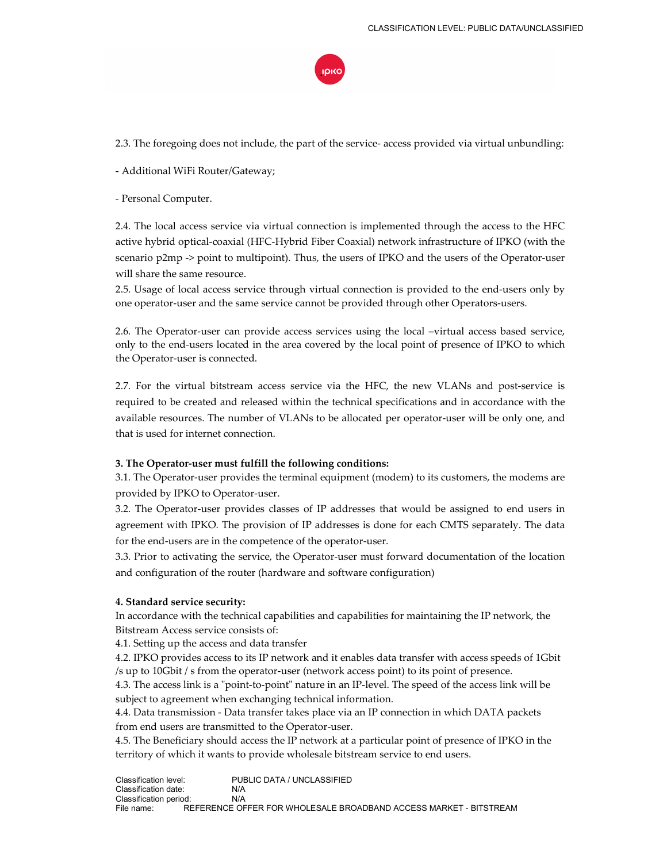

2.3. The foregoing does not include, the part of the service- access provided via virtual unbundling:

- Additional WiFi Router/Gateway;

- Personal Computer.

2.4. The local access service via virtual connection is implemented through the access to the HFC active hybrid optical-coaxial (HFC-Hybrid Fiber Coaxial) network infrastructure of IPKO (with the scenario p2mp -> point to multipoint). Thus, the users of IPKO and the users of the Operator-user will share the same resource.

2.5. Usage of local access service through virtual connection is provided to the end-users only by one operator-user and the same service cannot be provided through other Operators-users.

2.6. The Operator-user can provide access services using the local –virtual access based service, only to the end-users located in the area covered by the local point of presence of IPKO to which the Operator-user is connected.

2.7. For the virtual bitstream access service via the HFC, the new VLANs and post-service is required to be created and released within the technical specifications and in accordance with the available resources. The number of VLANs to be allocated per operator-user will be only one, and that is used for internet connection.

#### **3. The Operator-user must fulfill the following conditions:**

3.1. The Operator-user provides the terminal equipment (modem) to its customers, the modems are provided by IPKO to Operator-user.

3.2. The Operator-user provides classes of IP addresses that would be assigned to end users in agreement with IPKO. The provision of IP addresses is done for each CMTS separately. The data for the end-users are in the competence of the operator-user.

3.3. Prior to activating the service, the Operator-user must forward documentation of the location and configuration of the router (hardware and software configuration)

#### **4. Standard service security:**

In accordance with the technical capabilities and capabilities for maintaining the IP network, the Bitstream Access service consists of:

4.1. Setting up the access and data transfer

4.2. IPKO provides access to its IP network and it enables data transfer with access speeds of 1Gbit /s up to 10Gbit / s from the operator-user (network access point) to its point of presence.

4.3. The access link is a "point-to-point" nature in an IP-level. The speed of the access link will be subject to agreement when exchanging technical information.

4.4. Data transmission - Data transfer takes place via an IP connection in which DATA packets from end users are transmitted to the Operator-user.

4.5. The Beneficiary should access the IP network at a particular point of presence of IPKO in the territory of which it wants to provide wholesale bitstream service to end users.

Classification level: PUBLIC DATA / UNCLASSIFIED Classification date: N/A Classification period: N/A<br>File name: REFERENCE OF REFERENCE OFFER FOR WHOLESALE BROADBAND ACCESS MARKET - BITSTREAM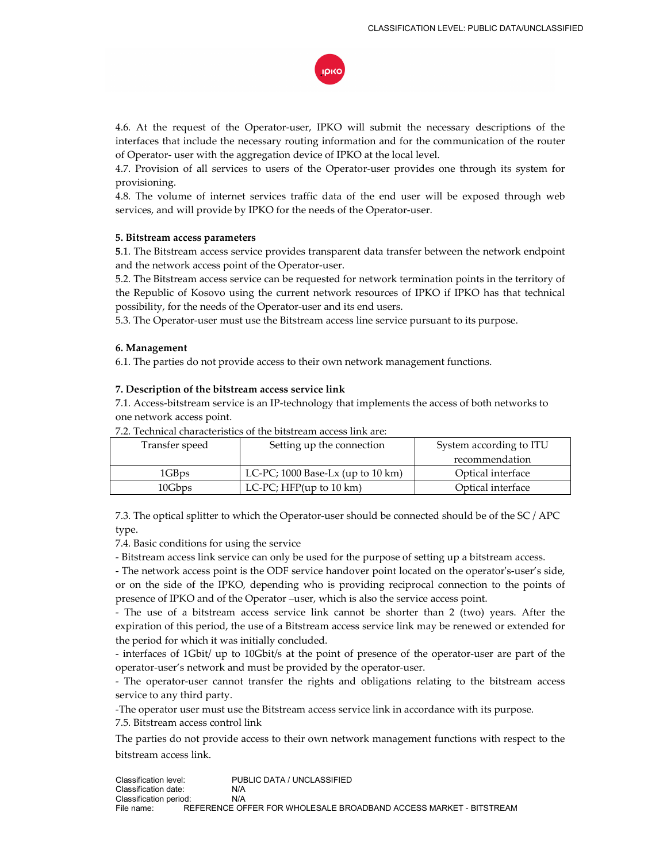

4.6. At the request of the Operator-user, IPKO will submit the necessary descriptions of the interfaces that include the necessary routing information and for the communication of the router of Operator- user with the aggregation device of IPKO at the local level.

4.7. Provision of all services to users of the Operator-user provides one through its system for provisioning.

4.8. The volume of internet services traffic data of the end user will be exposed through web services, and will provide by IPKO for the needs of the Operator-user.

#### **5. Bitstream access parameters**

**5**.1. The Bitstream access service provides transparent data transfer between the network endpoint and the network access point of the Operator-user.

5.2. The Bitstream access service can be requested for network termination points in the territory of the Republic of Kosovo using the current network resources of IPKO if IPKO has that technical possibility, for the needs of the Operator-user and its end users.

5.3. The Operator-user must use the Bitstream access line service pursuant to its purpose.

#### **6. Management**

6.1. The parties do not provide access to their own network management functions.

#### **7. Description of the bitstream access service link**

7.1. Access-bitstream service is an IP-technology that implements the access of both networks to one network access point.

| Setting up the connection<br>Transfer speed |                                                | System according to ITU |
|---------------------------------------------|------------------------------------------------|-------------------------|
|                                             |                                                | recommendation          |
| 1GB <sub>ps</sub>                           | LC-PC; $1000$ Base-Lx (up to $10 \text{ km}$ ) | Optical interface       |
| 10Gbps                                      | LC-PC; HFP $(up to 10 km)$                     | Optical interface       |

7.2. Technical characteristics of the bitstream access link are:

7.3. The optical splitter to which the Operator-user should be connected should be of the SC / APC type.

7.4. Basic conditions for using the service

- Bitstream access link service can only be used for the purpose of setting up a bitstream access.

- The network access point is the ODF service handover point located on the operator's-user's side, or on the side of the IPKO, depending who is providing reciprocal connection to the points of presence of IPKO and of the Operator –user, which is also the service access point.

- The use of a bitstream access service link cannot be shorter than 2 (two) years. After the expiration of this period, the use of a Bitstream access service link may be renewed or extended for the period for which it was initially concluded.

- interfaces of 1Gbit/ up to 10Gbit/s at the point of presence of the operator-user are part of the operator-user's network and must be provided by the operator-user.

- The operator-user cannot transfer the rights and obligations relating to the bitstream access service to any third party.

-The operator user must use the Bitstream access service link in accordance with its purpose.

7.5. Bitstream access control link

The parties do not provide access to their own network management functions with respect to the bitstream access link.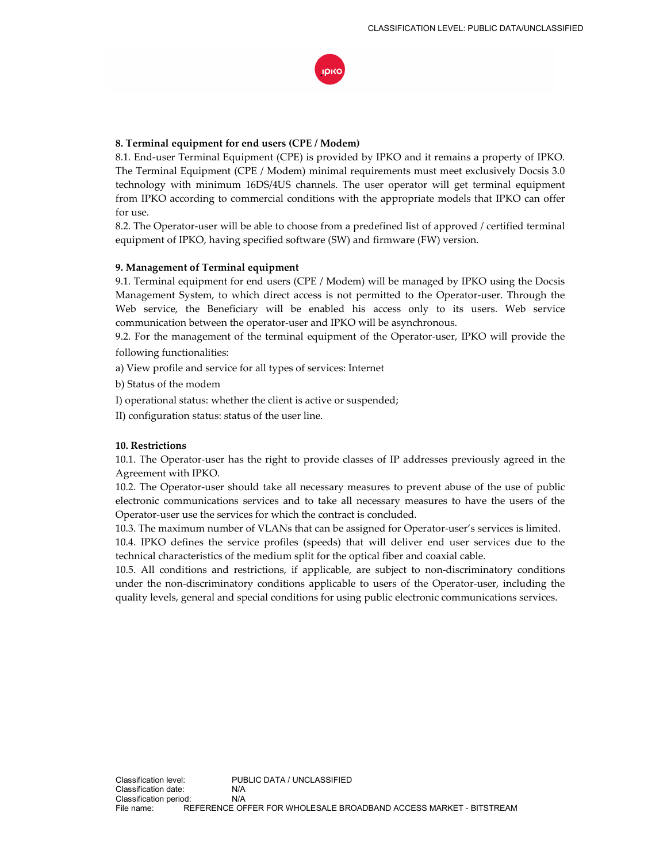

## **8. Terminal equipment for end users (CPE / Modem)**

8.1. End-user Terminal Equipment (CPE) is provided by IPKO and it remains a property of IPKO. The Terminal Equipment (CPE / Modem) minimal requirements must meet exclusively Docsis 3.0 technology with minimum 16DS/4US channels. The user operator will get terminal equipment from IPKO according to commercial conditions with the appropriate models that IPKO can offer for use.

8.2. The Operator-user will be able to choose from a predefined list of approved / certified terminal equipment of IPKO, having specified software (SW) and firmware (FW) version.

## **9. Management of Terminal equipment**

9.1. Terminal equipment for end users (CPE / Modem) will be managed by IPKO using the Docsis Management System, to which direct access is not permitted to the Operator-user. Through the Web service, the Beneficiary will be enabled his access only to its users. Web service communication between the operator-user and IPKO will be asynchronous.

9.2. For the management of the terminal equipment of the Operator-user, IPKO will provide the following functionalities:

a) View profile and service for all types of services: Internet

b) Status of the modem

I) operational status: whether the client is active or suspended;

II) configuration status: status of the user line.

## **10. Restrictions**

10.1. The Operator-user has the right to provide classes of IP addresses previously agreed in the Agreement with IPKO.

10.2. The Operator-user should take all necessary measures to prevent abuse of the use of public electronic communications services and to take all necessary measures to have the users of the Operator-user use the services for which the contract is concluded.

10.3. The maximum number of VLANs that can be assigned for Operator-user's services is limited.

10.4. IPKO defines the service profiles (speeds) that will deliver end user services due to the technical characteristics of the medium split for the optical fiber and coaxial cable.

10.5. All conditions and restrictions, if applicable, are subject to non-discriminatory conditions under the non-discriminatory conditions applicable to users of the Operator-user, including the quality levels, general and special conditions for using public electronic communications services.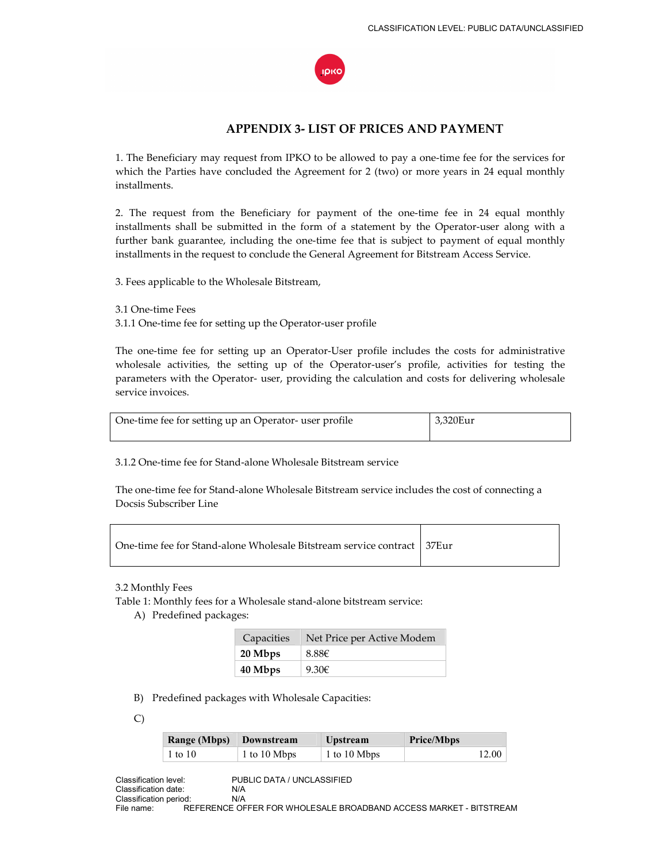

# **APPENDIX 3- LIST OF PRICES AND PAYMENT**

1. The Beneficiary may request from IPKO to be allowed to pay a one-time fee for the services for which the Parties have concluded the Agreement for 2 (two) or more years in 24 equal monthly installments.

2. The request from the Beneficiary for payment of the one-time fee in 24 equal monthly installments shall be submitted in the form of a statement by the Operator-user along with a further bank guarantee, including the one-time fee that is subject to payment of equal monthly installments in the request to conclude the General Agreement for Bitstream Access Service.

3. Fees applicable to the Wholesale Bitstream,

3.1 One-time Fees

3.1.1 One-time fee for setting up the Operator-user profile

The one-time fee for setting up an Operator-User profile includes the costs for administrative wholesale activities, the setting up of the Operator-user's profile, activities for testing the parameters with the Operator- user, providing the calculation and costs for delivering wholesale service invoices.

| One-time fee for setting up an Operator- user profile | 3.320Eur |
|-------------------------------------------------------|----------|
|                                                       |          |

3.1.2 One-time fee for Stand-alone Wholesale Bitstream service

The one-time fee for Stand-alone Wholesale Bitstream service includes the cost of connecting a Docsis Subscriber Line

| One-time fee for Stand-alone Wholesale Bitstream service contract   37Eur |  |
|---------------------------------------------------------------------------|--|
|---------------------------------------------------------------------------|--|

3.2 Monthly Fees

Table 1: Monthly fees for a Wholesale stand-alone bitstream service:

A) Predefined packages:

| Capacities | Net Price per Active Modem |
|------------|----------------------------|
| 20 Mbps    | 8.88E                      |
| 40 Mbps    | $9.30 \epsilon$            |

B) Predefined packages with Wholesale Capacities:

C)

| Range (Mbps) Downstream |              | <b>Upstream</b> | <b>Price/Mbps</b> |
|-------------------------|--------------|-----------------|-------------------|
| $\pm 1$ to $10$         | 1 to 10 Mbps | 1 to 10 Mbps    | 12.00             |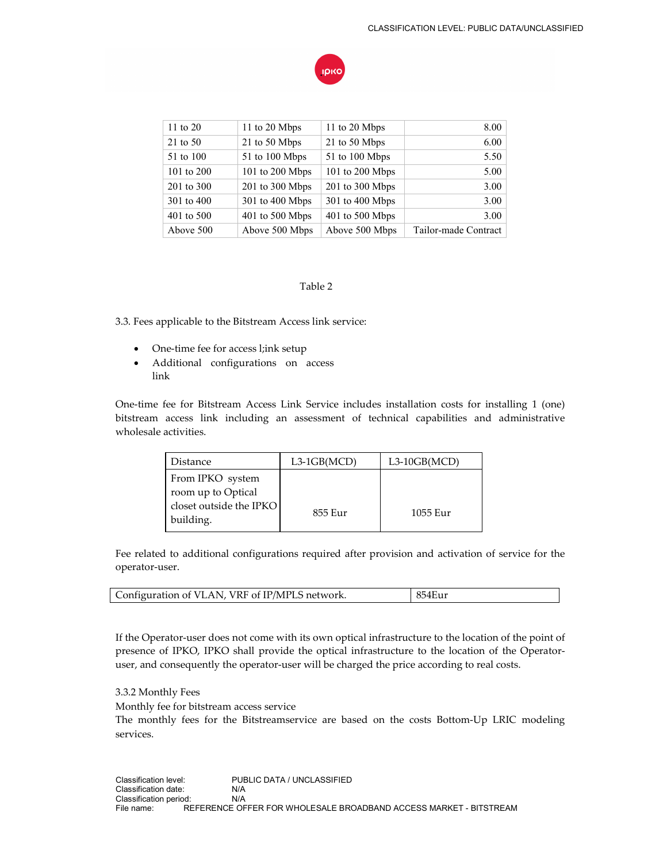

| 11 to 20   | 11 to 20 Mbps   | 11 to 20 Mbps   | 8.00                 |
|------------|-----------------|-----------------|----------------------|
| 21 to 50   | 21 to 50 Mbps   | 21 to 50 Mbps   | 6.00                 |
| 51 to 100  | 51 to 100 Mbps  | 51 to 100 Mbps  | 5.50                 |
| 101 to 200 | 101 to 200 Mbps | 101 to 200 Mbps | 5.00                 |
| 201 to 300 | 201 to 300 Mbps | 201 to 300 Mbps | 3.00                 |
| 301 to 400 | 301 to 400 Mbps | 301 to 400 Mbps | 3.00                 |
| 401 to 500 | 401 to 500 Mbps | 401 to 500 Mbps | 3.00                 |
| Above 500  | Above 500 Mbps  | Above 500 Mbps  | Tailor-made Contract |

#### Table 2

3.3. Fees applicable to the Bitstream Access link service:

- One-time fee for access l;ink setup
- Additional configurations on access link

One-time fee for Bitstream Access Link Service includes installation costs for installing 1 (one) bitstream access link including an assessment of technical capabilities and administrative wholesale activities.

| Distance                               | $L3-1GB(MCD)$ | $L3-10GB(MCD)$ |
|----------------------------------------|---------------|----------------|
| From IPKO system<br>room up to Optical |               |                |
| closet outside the IPKO<br>building.   | 855 Eur       | 1055 Eur       |

Fee related to additional configurations required after provision and activation of service for the operator-user.

If the Operator-user does not come with its own optical infrastructure to the location of the point of presence of IPKO, IPKO shall provide the optical infrastructure to the location of the Operatoruser, and consequently the operator-user will be charged the price according to real costs.

3.3.2 Monthly Fees

Monthly fee for bitstream access service

The monthly fees for the Bitstreamservice are based on the costs Bottom-Up LRIC modeling services.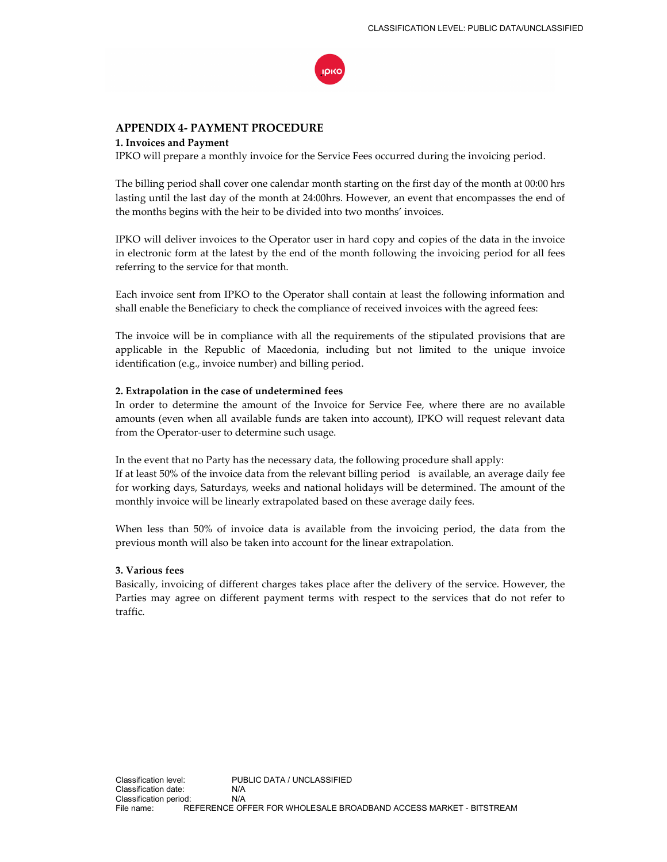

## **APPENDIX 4- PAYMENT PROCEDURE**

#### **1. Invoices and Payment**

IPKO will prepare a monthly invoice for the Service Fees occurred during the invoicing period.

The billing period shall cover one calendar month starting on the first day of the month at 00:00 hrs lasting until the last day of the month at 24:00hrs. However, an event that encompasses the end of the months begins with the heir to be divided into two months' invoices.

IPKO will deliver invoices to the Operator user in hard copy and copies of the data in the invoice in electronic form at the latest by the end of the month following the invoicing period for all fees referring to the service for that month.

Each invoice sent from IPKO to the Operator shall contain at least the following information and shall enable the Beneficiary to check the compliance of received invoices with the agreed fees:

The invoice will be in compliance with all the requirements of the stipulated provisions that are applicable in the Republic of Macedonia, including but not limited to the unique invoice identification (e.g., invoice number) and billing period.

#### **2. Extrapolation in the case of undetermined fees**

In order to determine the amount of the Invoice for Service Fee, where there are no available amounts (even when all available funds are taken into account), IPKO will request relevant data from the Operator-user to determine such usage.

In the event that no Party has the necessary data, the following procedure shall apply: If at least 50% of the invoice data from the relevant billing period is available, an average daily fee for working days, Saturdays, weeks and national holidays will be determined. The amount of the monthly invoice will be linearly extrapolated based on these average daily fees.

When less than 50% of invoice data is available from the invoicing period, the data from the previous month will also be taken into account for the linear extrapolation.

#### **3. Various fees**

Basically, invoicing of different charges takes place after the delivery of the service. However, the Parties may agree on different payment terms with respect to the services that do not refer to traffic.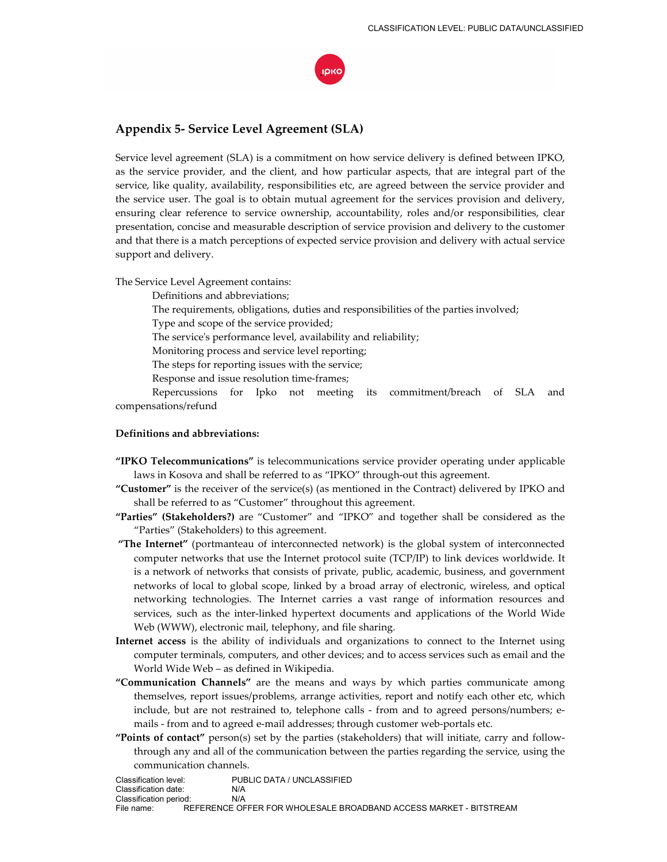

# **Appendix 5- Service Level Agreement (SLA)**

Service level agreement (SLA) is a commitment on how service delivery is defined between IPKO, as the service provider, and the client, and how particular aspects, that are integral part of the service, like quality, availability, responsibilities etc, are agreed between the service provider and the service user. The goal is to obtain mutual agreement for the services provision and delivery, ensuring clear reference to service ownership, accountability, roles and/or responsibilities, clear presentation, concise and measurable description of service provision and delivery to the customer and that there is a match perceptions of expected service provision and delivery with actual service support and delivery.

The Service Level Agreement contains:

 Definitions and abbreviations; The requirements, obligations, duties and responsibilities of the parties involved; Type and scope of the service provided; The service's performance level, availability and reliability; Monitoring process and service level reporting; The steps for reporting issues with the service; Response and issue resolution time-frames; Repercussions for Ipko not meeting its commitment/breach of SLA and

compensations/refund

#### **Definitions and abbreviations:**

- **"IPKO Telecommunications"** is telecommunications service provider operating under applicable laws in Kosova and shall be referred to as "IPKO" through-out this agreement.
- **"Customer"** is the receiver of the service(s) (as mentioned in the Contract) delivered by IPKO and shall be referred to as "Customer" throughout this agreement.
- **"Parties" (Stakeholders?)** are "Customer" and "IPKO" and together shall be considered as the "Parties" (Stakeholders) to this agreement.
- **"The Internet"** (portmanteau of interconnected network) is the global system of interconnected computer networks that use the Internet protocol suite (TCP/IP) to link devices worldwide. It is a network of networks that consists of private, public, academic, business, and government networks of local to global scope, linked by a broad array of electronic, wireless, and optical networking technologies. The Internet carries a vast range of information resources and services, such as the inter-linked hypertext documents and applications of the World Wide Web (WWW), electronic mail, telephony, and file sharing.
- **Internet access** is the ability of individuals and organizations to connect to the Internet using computer terminals, computers, and other devices; and to access services such as email and the World Wide Web – as defined in Wikipedia.
- **"Communication Channels"** are the means and ways by which parties communicate among themselves, report issues/problems, arrange activities, report and notify each other etc, which include, but are not restrained to, telephone calls - from and to agreed persons/numbers; emails - from and to agreed e-mail addresses; through customer web-portals etc.
- **"Points of contact"** person(s) set by the parties (stakeholders) that will initiate, carry and followthrough any and all of the communication between the parties regarding the service, using the communication channels.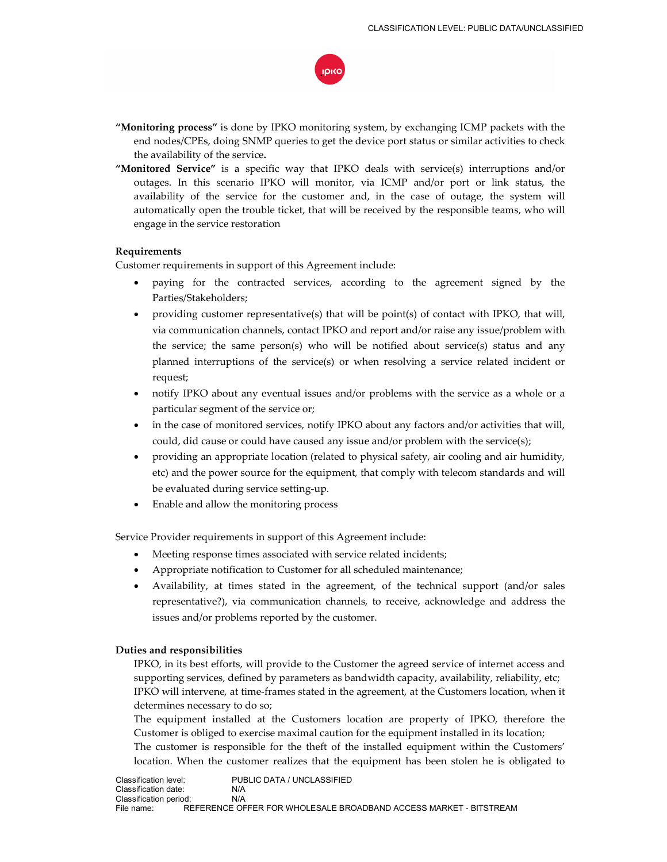

- **"Monitoring process"** is done by IPKO monitoring system, by exchanging ICMP packets with the end nodes/CPEs, doing SNMP queries to get the device port status or similar activities to check the availability of the service**.**
- **"Monitored Service"** is a specific way that IPKO deals with service(s) interruptions and/or outages. In this scenario IPKO will monitor, via ICMP and/or port or link status, the availability of the service for the customer and, in the case of outage, the system will automatically open the trouble ticket, that will be received by the responsible teams, who will engage in the service restoration

#### **Requirements**

Customer requirements in support of this Agreement include:

- paying for the contracted services, according to the agreement signed by the Parties/Stakeholders;
- providing customer representative(s) that will be point(s) of contact with IPKO, that will, via communication channels, contact IPKO and report and/or raise any issue/problem with the service; the same person(s) who will be notified about service(s) status and any planned interruptions of the service(s) or when resolving a service related incident or request;
- notify IPKO about any eventual issues and/or problems with the service as a whole or a particular segment of the service or;
- in the case of monitored services, notify IPKO about any factors and/or activities that will, could, did cause or could have caused any issue and/or problem with the service(s);
- providing an appropriate location (related to physical safety, air cooling and air humidity, etc) and the power source for the equipment, that comply with telecom standards and will be evaluated during service setting-up.
- Enable and allow the monitoring process

Service Provider requirements in support of this Agreement include:

- Meeting response times associated with service related incidents;
- Appropriate notification to Customer for all scheduled maintenance;
- Availability, at times stated in the agreement, of the technical support (and/or sales representative?), via communication channels, to receive, acknowledge and address the issues and/or problems reported by the customer.

#### **Duties and responsibilities**

 IPKO, in its best efforts, will provide to the Customer the agreed service of internet access and supporting services, defined by parameters as bandwidth capacity, availability, reliability, etc; IPKO will intervene, at time-frames stated in the agreement, at the Customers location, when it determines necessary to do so;

 The equipment installed at the Customers location are property of IPKO, therefore the Customer is obliged to exercise maximal caution for the equipment installed in its location; The customer is responsible for the theft of the installed equipment within the Customers' location. When the customer realizes that the equipment has been stolen he is obligated to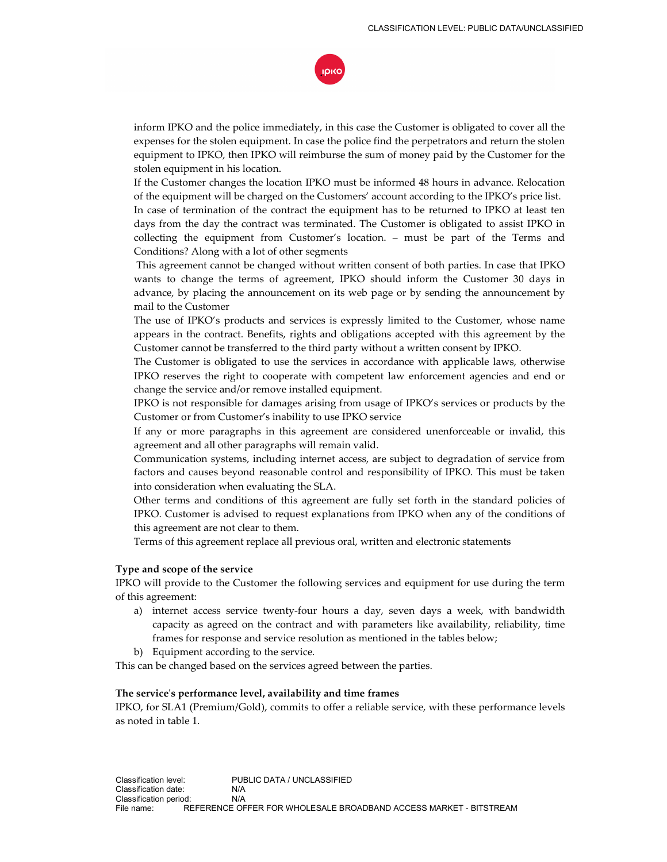

inform IPKO and the police immediately, in this case the Customer is obligated to cover all the expenses for the stolen equipment. In case the police find the perpetrators and return the stolen equipment to IPKO, then IPKO will reimburse the sum of money paid by the Customer for the stolen equipment in his location.

If the Customer changes the location IPKO must be informed 48 hours in advance. Relocation of the equipment will be charged on the Customers' account according to the IPKO's price list.

In case of termination of the contract the equipment has to be returned to IPKO at least ten days from the day the contract was terminated. The Customer is obligated to assist IPKO in collecting the equipment from Customer's location. – must be part of the Terms and Conditions? Along with a lot of other segments

 This agreement cannot be changed without written consent of both parties. In case that IPKO wants to change the terms of agreement, IPKO should inform the Customer 30 days in advance, by placing the announcement on its web page or by sending the announcement by mail to the Customer

 The use of IPKO's products and services is expressly limited to the Customer, whose name appears in the contract. Benefits, rights and obligations accepted with this agreement by the Customer cannot be transferred to the third party without a written consent by IPKO.

 The Customer is obligated to use the services in accordance with applicable laws, otherwise IPKO reserves the right to cooperate with competent law enforcement agencies and end or change the service and/or remove installed equipment.

 IPKO is not responsible for damages arising from usage of IPKO's services or products by the Customer or from Customer's inability to use IPKO service

 If any or more paragraphs in this agreement are considered unenforceable or invalid, this agreement and all other paragraphs will remain valid.

 Communication systems, including internet access, are subject to degradation of service from factors and causes beyond reasonable control and responsibility of IPKO. This must be taken into consideration when evaluating the SLA.

 Other terms and conditions of this agreement are fully set forth in the standard policies of IPKO. Customer is advised to request explanations from IPKO when any of the conditions of this agreement are not clear to them.

Terms of this agreement replace all previous oral, written and electronic statements

#### **Type and scope of the service**

IPKO will provide to the Customer the following services and equipment for use during the term of this agreement:

- a) internet access service twenty-four hours a day, seven days a week, with bandwidth capacity as agreed on the contract and with parameters like availability, reliability, time frames for response and service resolution as mentioned in the tables below;
- b) Equipment according to the service.

This can be changed based on the services agreed between the parties.

#### **The service's performance level, availability and time frames**

IPKO, for SLA1 (Premium/Gold), commits to offer a reliable service, with these performance levels as noted in table 1.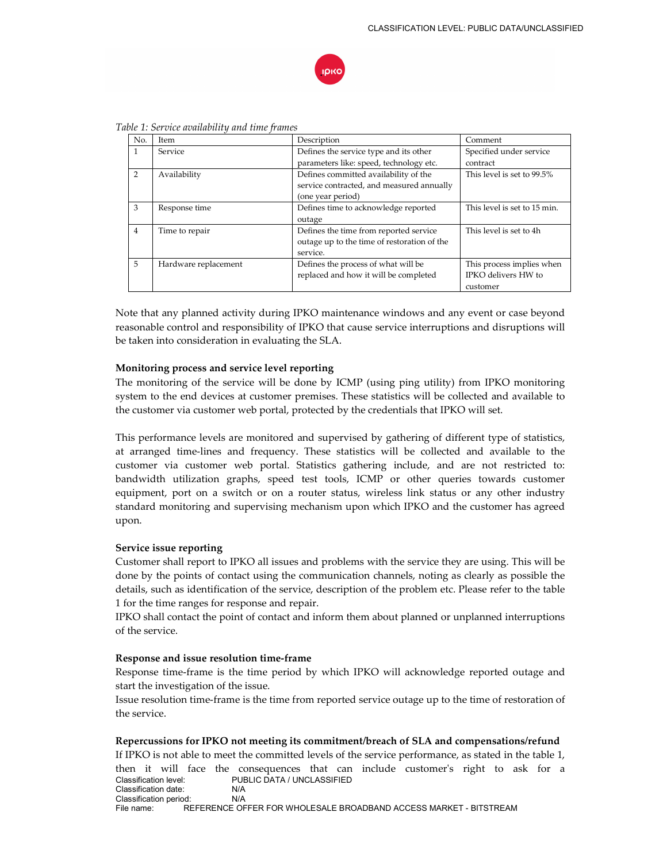

| No.            | <b>Item</b>          | Description                                 | Comment                      |
|----------------|----------------------|---------------------------------------------|------------------------------|
| 1              | Service              | Defines the service type and its other      | Specified under service      |
|                |                      | parameters like: speed, technology etc.     | contract                     |
| $\mathcal{P}$  | Availability         | Defines committed availability of the       | This level is set to 99.5%   |
|                |                      | service contracted, and measured annually   |                              |
|                |                      | (one year period)                           |                              |
| 3              | Response time        | Defines time to acknowledge reported        | This level is set to 15 min. |
|                |                      | outage                                      |                              |
| $\overline{4}$ | Time to repair       | Defines the time from reported service      | This level is set to 4h      |
|                |                      | outage up to the time of restoration of the |                              |
|                |                      | service.                                    |                              |
| 5              | Hardware replacement | Defines the process of what will be         | This process implies when    |
|                |                      | replaced and how it will be completed       | IPKO delivers HW to          |
|                |                      |                                             | customer                     |

*Table 1: Service availability and time frames* 

Note that any planned activity during IPKO maintenance windows and any event or case beyond reasonable control and responsibility of IPKO that cause service interruptions and disruptions will be taken into consideration in evaluating the SLA.

## **Monitoring process and service level reporting**

The monitoring of the service will be done by ICMP (using ping utility) from IPKO monitoring system to the end devices at customer premises. These statistics will be collected and available to the customer via customer web portal, protected by the credentials that IPKO will set.

This performance levels are monitored and supervised by gathering of different type of statistics, at arranged time-lines and frequency. These statistics will be collected and available to the customer via customer web portal. Statistics gathering include, and are not restricted to: bandwidth utilization graphs, speed test tools, ICMP or other queries towards customer equipment, port on a switch or on a router status, wireless link status or any other industry standard monitoring and supervising mechanism upon which IPKO and the customer has agreed upon.

## **Service issue reporting**

Customer shall report to IPKO all issues and problems with the service they are using. This will be done by the points of contact using the communication channels, noting as clearly as possible the details, such as identification of the service, description of the problem etc. Please refer to the table 1 for the time ranges for response and repair.

IPKO shall contact the point of contact and inform them about planned or unplanned interruptions of the service.

## **Response and issue resolution time-frame**

Response time-frame is the time period by which IPKO will acknowledge reported outage and start the investigation of the issue.

Issue resolution time-frame is the time from reported service outage up to the time of restoration of the service.

## **Repercussions for IPKO not meeting its commitment/breach of SLA and compensations/refund**

Classification level: PUBLIC DATA / UNCLASSIFIED Classification date: N/A Classification period: N/A<br>File name: REFERENCE OF REFERENCE OFFER FOR WHOLESALE BROADBAND ACCESS MARKET - BITSTREAM If IPKO is not able to meet the committed levels of the service performance, as stated in the table 1, then it will face the consequences that can include customer's right to ask for a